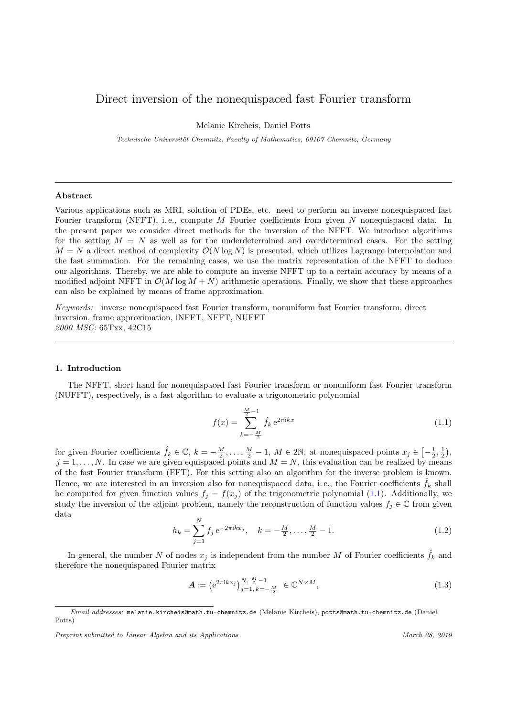# <span id="page-0-0"></span>Direct inversion of the nonequispaced fast Fourier transform

Melanie Kircheis, Daniel Potts

Technische Universität Chemnitz, Faculty of Mathematics, 09107 Chemnitz, Germany

## Abstract

Various applications such as MRI, solution of PDEs, etc. need to perform an inverse nonequispaced fast Fourier transform (NFFT), i.e., compute M Fourier coefficients from given N nonequispaced data. In the present paper we consider direct methods for the inversion of the NFFT. We introduce algorithms for the setting  $M = N$  as well as for the underdetermined and overdetermined cases. For the setting  $M = N$  a direct method of complexity  $\mathcal{O}(N \log N)$  is presented, which utilizes Lagrange interpolation and the fast summation. For the remaining cases, we use the matrix representation of the NFFT to deduce our algorithms. Thereby, we are able to compute an inverse NFFT up to a certain accuracy by means of a modified adjoint NFFT in  $\mathcal{O}(M \log M + N)$  arithmetic operations. Finally, we show that these approaches can also be explained by means of frame approximation.

Keywords: inverse nonequispaced fast Fourier transform, nonuniform fast Fourier transform, direct inversion, frame approximation, iNFFT, NFFT, NUFFT 2000 MSC: 65Txx, 42C15

## 1. Introduction

The NFFT, short hand for nonequispaced fast Fourier transform or nonuniform fast Fourier transform (NUFFT), respectively, is a fast algorithm to evaluate a trigonometric polynomial

$$
f(x) = \sum_{k=-\frac{M}{2}}^{\frac{M}{2}-1} \hat{f}_k e^{2\pi ikx}
$$
 (1.1)

for given Fourier coefficients  $\hat{f}_k \in \mathbb{C}, k = -\frac{M}{2}, \ldots, \frac{M}{2} - 1, M \in 2\mathbb{N}$ , at nonequispaced points  $x_j \in \left[-\frac{1}{2}, \frac{1}{2}\right)$ ,  $j = 1, \ldots, N$ . In case we are given equispaced points and  $M = N$ , this evaluation can be realized by means of the fast Fourier transform (FFT). For this setting also an algorithm for the inverse problem is known. Hence, we are interested in an inversion also for nonequispaced data, i.e., the Fourier coefficients  $f_k$  shall be computed for given function values  $f_j = f(x_j)$  of the trigonometric polynomial (1.1). Additionally, we study the inversion of the adjoint problem, namely the reconstruction of function values  $f_j \in \mathbb{C}$  from given data

$$
h_k = \sum_{j=1}^{N} f_j e^{-2\pi i k x_j}, \quad k = -\frac{M}{2}, \dots, \frac{M}{2} - 1.
$$
 (1.2)

In general, the number N of nodes  $x_j$  is independent from the number M of Fourier coefficients  $\hat{f}_k$  and therefore the nonequispaced Fourier matrix

$$
\mathbf{A} \coloneqq \left( e^{2\pi i k x_j} \right)_{j=1, k=-\frac{M}{2}}^{N, \frac{M}{2}-1} \in \mathbb{C}^{N \times M}, \tag{1.3}
$$

Email addresses: melanie.kircheis@math.tu-chemnitz.de (Melanie Kircheis), potts@math.tu-chemnitz.de (Daniel Potts)

Preprint submitted to Linear Algebra and its Applications March 28, 2019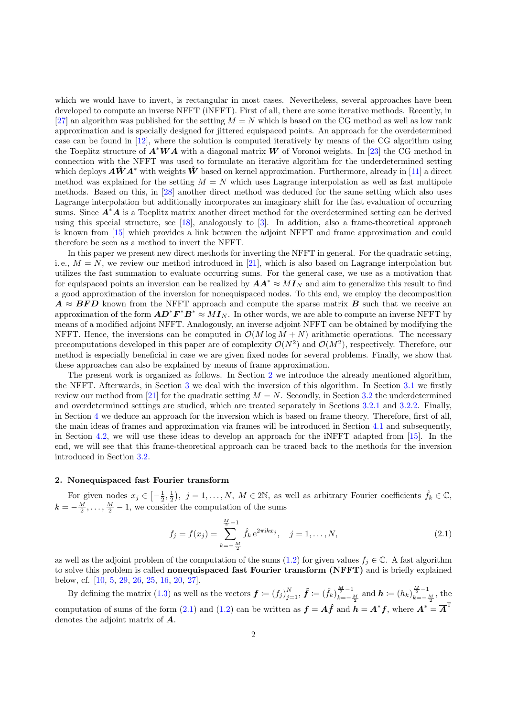<span id="page-1-0"></span>which we would have to invert, is rectangular in most cases. Nevertheless, several approaches have been developed to compute an inverse NFFT (iNFFT). First of all, there are some iterative methods. Recently, in [\[27\]](#page-25-0) an algorithm was published for the setting  $M = N$  which is based on the CG method as well as low rank approximation and is specially designed for jittered equispaced points. An approach for the overdetermined case can be found in [\[12\]](#page-25-0), where the solution is computed iteratively by means of the CG algorithm using the Toeplitz structure of  $A^*WA$  with a diagonal matrix W of Voronoi weights. In [\[23\]](#page-25-0) the CG method in connection with the NFFT was used to formulate an iterative algorithm for the underdetermined setting which deploys  $\hat{A}\hat{W}A^*$  with weights  $\hat{W}$  based on kernel approximation. Furthermore, already in [\[11\]](#page-25-0) a direct method was explained for the setting  $M = N$  which uses Lagrange interpolation as well as fast multipole methods. Based on this, in [\[28\]](#page-25-0) another direct method was deduced for the same setting which also uses Lagrange interpolation but additionally incorporates an imaginary shift for the fast evaluation of occurring sums. Since  $A^*A$  is a Toeplitz matrix another direct method for the overdetermined setting can be derived using this special structure, see [\[18\]](#page-25-0), analogously to [\[3\]](#page-25-0). In addition, also a frame-theoretical approach is known from [\[15\]](#page-25-0) which provides a link between the adjoint NFFT and frame approximation and could therefore be seen as a method to invert the NFFT.

In this paper we present new direct methods for inverting the NFFT in general. For the quadratic setting, i.e.,  $M = N$ , we review our method introduced in [\[21\]](#page-25-0), which is also based on Lagrange interpolation but utilizes the fast summation to evaluate occurring sums. For the general case, we use as a motivation that for equispaced points an inversion can be realized by  $AA^* \approx MI_{N}$  and aim to generalize this result to find a good approximation of the inversion for nonequispaced nodes. To this end, we employ the decomposition  $A \approx BFD$  known from the NFFT approach and compute the sparse matrix B such that we receive an approximation of the form  $AD^*F^*B^* \approx MI_N$ . In other words, we are able to compute an inverse NFFT by means of a modified adjoint NFFT. Analogously, an inverse adjoint NFFT can be obtained by modifying the NFFT. Hence, the inversions can be computed in  $\mathcal{O}(M \log M + N)$  arithmetic operations. The necessary precomputations developed in this paper are of complexity  $\mathcal{O}(N^2)$  and  $\mathcal{O}(M^2)$ , respectively. Therefore, our method is especially beneficial in case we are given fixed nodes for several problems. Finally, we show that these approaches can also be explained by means of frame approximation.

The present work is organized as follows. In Section 2 we introduce the already mentioned algorithm, the NFFT. Afterwards, in Section [3](#page-3-0) we deal with the inversion of this algorithm. In Section [3.1](#page-4-0) we firstly review our method from [\[21\]](#page-25-0) for the quadratic setting  $M = N$ . Secondly, in Section [3.2](#page-7-0) the underdetermined and overdetermined settings are studied, which are treated separately in Sections [3.2.1](#page-9-0) and [3.2.2.](#page-15-0) Finally, in Section [4](#page-19-0) we deduce an approach for the inversion which is based on frame theory. Therefore, first of all, the main ideas of frames and approximation via frames will be introduced in Section [4.1](#page-20-0) and subsequently, in Section [4.2,](#page-21-0) we will use these ideas to develop an approach for the iNFFT adapted from [\[15\]](#page-25-0). In the end, we will see that this frame-theoretical approach can be traced back to the methods for the inversion introduced in Section [3.2.](#page-7-0)

## 2. Nonequispaced fast Fourier transform

For given nodes  $x_j \in \left[-\frac{1}{2},\frac{1}{2}\right), \ j=1,\ldots,N, M \in 2\mathbb{N}$ , as well as arbitrary Fourier coefficients  $\hat{f}_k \in \mathbb{C}$ ,  $k = -\frac{M}{2}, \ldots, \frac{M}{2} - 1$ , we consider the computation of the sums

$$
f_j = f(x_j) = \sum_{k=-\frac{M}{2}}^{\frac{M}{2}-1} \hat{f}_k e^{2\pi i k x_j}, \quad j = 1, ..., N,
$$
\n(2.1)

as well as the adjoint problem of the computation of the sums [\(1.2\)](#page-0-0) for given values  $f_j \in \mathbb{C}$ . A fast algorithm to solve this problem is called **nonequispaced fast Fourier transform (NFFT)** and is briefly explained below, cf. [\[10,](#page-25-0) [5,](#page-25-0) [29,](#page-25-0) [26,](#page-25-0) [25,](#page-25-0) [16,](#page-25-0) [20,](#page-25-0) [27\]](#page-25-0).

By defining the matrix [\(1.3\)](#page-0-0) as well as the vectors  $\boldsymbol{f} := (f_j)_{j=1}^N$ ,  $\hat{\boldsymbol{f}} := (\hat{f}_k)_{k=-N}^{\frac{M}{2}-1}$  $\frac{\frac{M}{2}-1}{k=-\frac{M}{2}}$  and  $h \coloneqq (h_k)_{k=-\frac{M}{2}}^{\frac{M}{2}-1}$  $\frac{1}{k}=-\frac{M}{2},$  the computation of sums of the form (2.1) and [\(1.2\)](#page-0-0) can be written as  $f = A\hat{f}$  and  $h = A^*f$ , where  $A^* = \overline{A}^T$ denotes the adjoint matrix of A.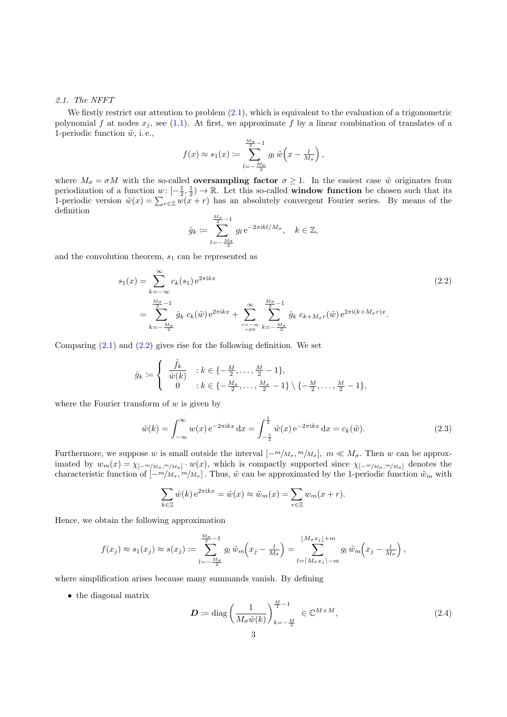### <span id="page-2-0"></span>2.1. The NFFT

We firstly restrict our attention to problem  $(2.1)$ , which is equivalent to the evaluation of a trigonometric polynomial f at nodes  $x_j$ , see [\(1.1\)](#page-0-0). At first, we approximate f by a linear combination of translates of a 1-periodic function  $\tilde{w}$ , i.e.,

$$
f(x) \approx s_1(x) \coloneqq \sum_{l=-\frac{M_{\sigma}}{2}}^{\frac{M_{\sigma}}{2}-1} g_l \,\tilde{w}\left(x - \frac{l}{M_{\sigma}}\right),
$$

where  $M_{\sigma} = \sigma M$  with the so-called **oversampling factor**  $\sigma \geq 1$ . In the easiest case  $\tilde{w}$  originates from periodization of a function  $w: [-\frac{1}{2}, \frac{1}{2}) \to \mathbb{R}$ . Let this so-called **window function** be chosen such that its 1-periodic version  $\tilde{w}(x) = \sum_{r \in \mathbb{Z}} w(x+r)$  has an absolutely convergent Fourier series. By means of the definition

$$
\hat{g}_k \coloneqq \sum_{l=-\frac{M_\sigma}{2}}^{\frac{M_\sigma}{2}-1} g_l \,\mathrm{e}^{-2\pi\mathrm{i}kl/M_\sigma}, \quad k \in \mathbb{Z},
$$

and the convolution theorem,  $s_1$  can be represented as

$$
s_1(x) = \sum_{k=-\infty}^{\infty} c_k(s_1) e^{2\pi i kx}
$$
  
= 
$$
\sum_{k=-\frac{M_{\sigma}}{2}}^{\frac{M_{\sigma}}{2}-1} \hat{g}_k c_k(\tilde{w}) e^{2\pi i kx} + \sum_{\substack{r=-\infty\\r\neq 0}}^{\infty} \sum_{k=-\frac{M_{\sigma}}{2}}^{\frac{M_{\sigma}}{2}-1} \hat{g}_k c_{k+M_{\sigma}r}(\tilde{w}) e^{2\pi i (k+M_{\sigma}r)x}.
$$
 (2.2)

Comparing  $(2.1)$  and  $(2.2)$  gives rise for the following definition. We set

$$
\hat{g}_k := \begin{cases} \n\frac{\hat{f}_k}{\hat{w}(k)} & : k \in \{-\frac{M}{2}, \dots, \frac{M}{2} - 1\}, \\ \n0 & : k \in \{-\frac{M_x}{2}, \dots, \frac{M_x}{2} - 1\} \setminus \{-\frac{M}{2}, \dots, \frac{M}{2} - 1\}, \n\end{cases}
$$

where the Fourier transform of  $w$  is given by

$$
\hat{w}(k) = \int_{-\infty}^{\infty} w(x) e^{-2\pi i kx} dx = \int_{-\frac{1}{2}}^{\frac{1}{2}} \tilde{w}(x) e^{-2\pi i kx} dx = c_k(\tilde{w}).
$$
\n(2.3)

Furthermore, we suppose w is small outside the interval  $[-m/M_{\sigma}, m/M_{\sigma}]$ ,  $m \ll M_{\sigma}$ . Then w can be approximated by  $w_m(x) = \chi_{[-m/M_{\sigma},m/M_{\sigma}]} \cdot w(x)$ , which is compactly supported since  $\chi_{[-m/M_{\sigma},m/M_{\sigma}]}$  denotes the characteristic function of  $[-m/M_{\sigma}, m/M_{\sigma}]$ . Thus,  $\tilde{w}$  can be approximated by the 1-periodic function  $\tilde{w}_m$  with

$$
\sum_{k \in \mathbb{Z}} \hat{w}(k) e^{2\pi i kx} = \tilde{w}(x) \approx \tilde{w}_m(x) = \sum_{r \in \mathbb{Z}} w_m(x+r).
$$

Hence, we obtain the following approximation

$$
f(x_j) \approx s_1(x_j) \approx s(x_j) := \sum_{l=-\frac{M_{\sigma}}{2}}^{\frac{M_{\sigma}}{2}-1} g_l \,\tilde{w}_m\left(x_j - \frac{l}{M_{\sigma}}\right) = \sum_{l=\lceil M_{\sigma}x_j \rceil - m}^{\lfloor M_{\sigma}x_j \rfloor + m} g_l \,\tilde{w}_m\left(x_j - \frac{l}{M_{\sigma}}\right),
$$

where simplification arises because many summands vanish. By defining

• the diagonal matrix

$$
\mathbf{D} := \text{diag}\left(\frac{1}{M_{\sigma}\hat{w}(k)}\right)_{k=-\frac{M}{2}}^{\frac{M}{2}-1} \in \mathbb{C}^{M \times M},\tag{2.4}
$$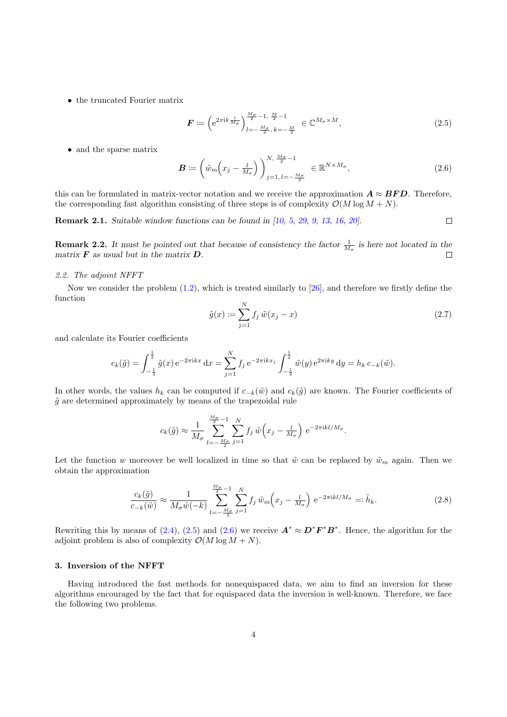<span id="page-3-0"></span>• the truncated Fourier matrix

$$
\boldsymbol{F} \coloneqq \left( e^{2\pi i k \frac{l}{M_{\sigma}}} \right)^{\frac{M_{\sigma}}{2} - 1, \frac{M}{2} - 1}_{l = -\frac{M_{\sigma}}{2}, k = -\frac{M}{2}} \in \mathbb{C}^{M_{\sigma} \times M}, \tag{2.5}
$$

• and the sparse matrix

$$
\boldsymbol{B} \coloneqq \left( \tilde{w}_m \left( x_j - \frac{l}{M_\sigma} \right) \right)_{j=1, l=-\frac{M_\sigma}{2}}^{N, \frac{M_\sigma}{2}-1} \in \mathbb{R}^{N \times M_\sigma}, \tag{2.6}
$$

this can be formulated in matrix-vector notation and we receive the approximation  $\mathbf{A} \approx \mathbf{BFD}$ . Therefore, the corresponding fast algorithm consisting of three steps is of complexity  $\mathcal{O}(M \log M + N)$ .

Remark 2.1. Suitable window functions can be found in [\[10,](#page-25-0) [5,](#page-25-0) [29,](#page-25-0) [9,](#page-25-0) [13,](#page-25-0) [16,](#page-25-0) [20\]](#page-25-0).  $\Box$ 

**Remark 2.2.** It must be pointed out that because of consistency the factor  $\frac{1}{M_{\sigma}}$  is here not located in the matrix  $\boldsymbol{F}$  as usual but in the matrix  $\boldsymbol{D}$ .  $\Box$ 

## 2.2. The adjoint NFFT

Now we consider the problem  $(1.2)$ , which is treated similarly to [\[26\]](#page-25-0), and therefore we firstly define the function

$$
\tilde{g}(x) := \sum_{j=1}^{N} f_j \tilde{w}(x_j - x) \tag{2.7}
$$

and calculate its Fourier coefficients

$$
c_k(\tilde{g}) = \int_{-\frac{1}{2}}^{\frac{1}{2}} \tilde{g}(x) e^{-2\pi i kx} dx = \sum_{j=1}^{N} f_j e^{-2\pi i kx_j} \int_{-\frac{1}{2}}^{\frac{1}{2}} \tilde{w}(y) e^{2\pi i k y} dy = h_k c_{-k}(\tilde{w}).
$$

In other words, the values  $h_k$  can be computed if  $c_{-k}(\tilde{w})$  and  $c_k(\tilde{g})$  are known. The Fourier coefficients of  $\tilde{q}$  are determined approximately by means of the trapezoidal rule

$$
c_k(\tilde{g}) \approx \frac{1}{M_{\sigma}} \sum_{l=-\frac{M_{\sigma}}{2}}^{\frac{M_{\sigma}}{2}-1} \sum_{j=1}^{N} f_j \,\tilde{w}\left(x_j - \frac{l}{M_{\sigma}}\right) \,\mathrm{e}^{-2\pi\mathrm{i}kl/M_{\sigma}}.
$$

Let the function w moreover be well localized in time so that  $\tilde{w}$  can be replaced by  $\tilde{w}_m$  again. Then we obtain the approximation

$$
\frac{c_k(\tilde{g})}{c_{-k}(\tilde{w})} \approx \frac{1}{M_\sigma \hat{w}(-k)} \sum_{l=-\frac{M_\sigma}{2}}^{\frac{M_\sigma}{2}-1} \sum_{j=1}^N f_j \,\tilde{w}_m\left(x_j - \frac{l}{M_\sigma}\right) e^{-2\pi i k l/M_\sigma} =: \tilde{h}_k. \tag{2.8}
$$

Rewriting this by means of [\(2.4\)](#page-2-0), (2.5) and (2.6) we receive  $\mathbf{A}^* \approx \mathbf{D}^* \mathbf{F}^* \mathbf{B}^*$ . Hence, the algorithm for the adjoint problem is also of complexity  $\mathcal{O}(M \log M + N)$ .

#### 3. Inversion of the NFFT

Having introduced the fast methods for nonequispaced data, we aim to find an inversion for these algorithms encouraged by the fact that for equispaced data the inversion is well-known. Therefore, we face the following two problems.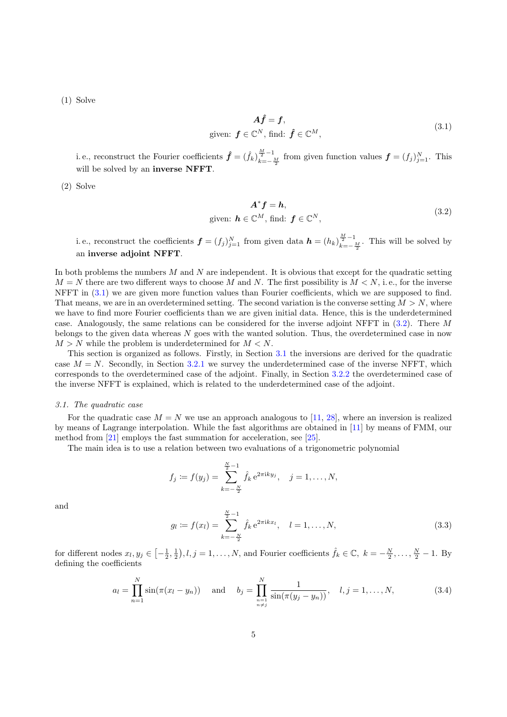<span id="page-4-0"></span>(1) Solve

$$
\mathbf{A}\hat{\mathbf{f}} = \mathbf{f},
$$
  
given:  $\mathbf{f} \in \mathbb{C}^{N}$ , find:  $\hat{\mathbf{f}} \in \mathbb{C}^{M}$ , (3.1)

i. e., reconstruct the Fourier coefficients  $\hat{f} = (\hat{f}_k)_{k=-\infty}^{\frac{M}{2}-1}$  $\frac{p}{k=-\frac{M}{2}}$  from given function values  $\boldsymbol{f}=(f_j)_{j=1}^N$ . This will be solved by an inverse NFFT.

(2) Solve

$$
\mathbf{A}^* \mathbf{f} = \mathbf{h},
$$
  
given:  $\mathbf{h} \in \mathbb{C}^M$ , find:  $\mathbf{f} \in \mathbb{C}^N$ , (3.2)

i.e., reconstruct the coefficients  $\boldsymbol{f} = (f_j)_{j=1}^N$  from given data  $\boldsymbol{h} = (h_k)_{k=-N}^{\frac{M}{2}-1}$  $\frac{2}{k}$  are  $\frac{M}{2}$ . This will be solved by an inverse adjoint NFFT.

In both problems the numbers  $M$  and  $N$  are independent. It is obvious that except for the quadratic setting  $M = N$  there are two different ways to choose M and N. The first possibility is  $M < N$ , i.e., for the inverse NFFT in  $(3.1)$  we are given more function values than Fourier coefficients, which we are supposed to find. That means, we are in an overdetermined setting. The second variation is the converse setting  $M > N$ , where we have to find more Fourier coefficients than we are given initial data. Hence, this is the underdetermined case. Analogously, the same relations can be considered for the inverse adjoint NFFT in (3.2). There M belongs to the given data whereas  $N$  goes with the wanted solution. Thus, the overdetermined case in now  $M > N$  while the problem is underdetermined for  $M < N$ .

This section is organized as follows. Firstly, in Section 3.1 the inversions are derived for the quadratic case  $M = N$ . Secondly, in Section [3.2.1](#page-9-0) we survey the underdetermined case of the inverse NFFT, which corresponds to the overdetermined case of the adjoint. Finally, in Section [3.2.2](#page-15-0) the overdetermined case of the inverse NFFT is explained, which is related to the underdetermined case of the adjoint.

#### 3.1. The quadratic case

For the quadratic case  $M = N$  we use an approach analogous to [\[11,](#page-25-0) [28\]](#page-25-0), where an inversion is realized by means of Lagrange interpolation. While the fast algorithms are obtained in [\[11\]](#page-25-0) by means of FMM, our method from [\[21\]](#page-25-0) employs the fast summation for acceleration, see [\[25\]](#page-25-0).

The main idea is to use a relation between two evaluations of a trigonometric polynomial

$$
f_j := f(y_j) = \sum_{k=-\frac{N}{2}}^{\frac{N}{2}-1} \hat{f}_k e^{2\pi i k y_j}, \quad j = 1, ..., N,
$$

and

$$
g_l := f(x_l) = \sum_{k=-\frac{N}{2}}^{\frac{N}{2}-1} \hat{f}_k e^{2\pi i k x_l}, \quad l = 1, ..., N,
$$
\n(3.3)

for different nodes  $x_l, y_j \in \left[-\frac{1}{2}, \frac{1}{2}\right), l, j = 1, \ldots, N$ , and Fourier coefficients  $\hat{f}_k \in \mathbb{C}, k = -\frac{N}{2}, \ldots, \frac{N}{2} - 1$ . By defining the coefficients

$$
a_l = \prod_{n=1}^{N} \sin(\pi(x_l - y_n)) \quad \text{and} \quad b_j = \prod_{\substack{n=1 \\ n \neq j}}^{N} \frac{1}{\sin(\pi(y_j - y_n))}, \quad l, j = 1, \dots, N,
$$
 (3.4)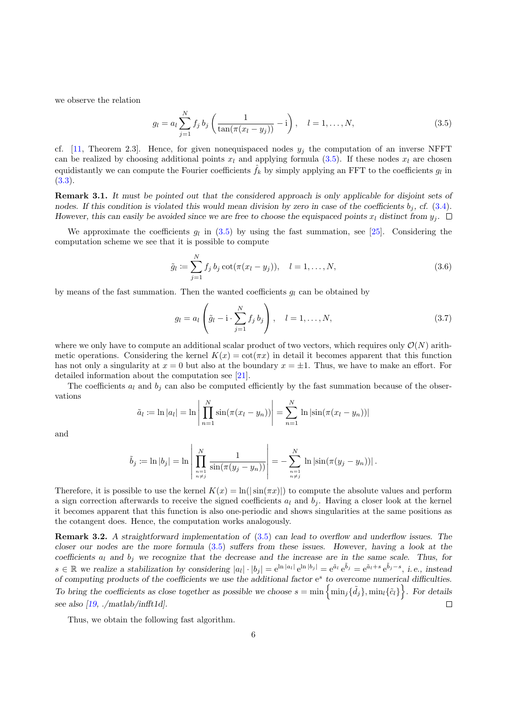<span id="page-5-0"></span>we observe the relation

$$
g_l = a_l \sum_{j=1}^{N} f_j b_j \left( \frac{1}{\tan(\pi(x_l - y_j))} - i \right), \quad l = 1, ..., N,
$$
\n(3.5)

cf. [\[11,](#page-25-0) Theorem 2.3]. Hence, for given nonequispaced nodes  $y_i$  the computation of an inverse NFFT can be realized by choosing additional points  $x_l$  and applying formula (3.5). If these nodes  $x_l$  are chosen equidistantly we can compute the Fourier coefficients  $\hat{f}_k$  by simply applying an FFT to the coefficients  $g_l$  in [\(3.3\)](#page-4-0).

Remark 3.1. It must be pointed out that the considered approach is only applicable for disjoint sets of nodes. If this condition is violated this would mean division by zero in case of the coefficients  $b_j$ , cf. [\(3.4\)](#page-4-0). However, this can easily be avoided since we are free to choose the equispaced points  $x_l$  distinct from  $y_j$ .  $\Box$ 

We approximate the coefficients  $g_l$  in (3.5) by using the fast summation, see [\[25\]](#page-25-0). Considering the computation scheme we see that it is possible to compute

$$
\tilde{g}_l := \sum_{j=1}^N f_j b_j \cot(\pi (x_l - y_j)), \quad l = 1, ..., N,
$$
\n(3.6)

by means of the fast summation. Then the wanted coefficients  $q_l$  can be obtained by

$$
g_l = a_l \left( \tilde{g}_l - \mathbf{i} \cdot \sum_{j=1}^N f_j b_j \right), \quad l = 1, ..., N,
$$
 (3.7)

where we only have to compute an additional scalar product of two vectors, which requires only  $\mathcal{O}(N)$  arithmetic operations. Considering the kernel  $K(x) = \cot(\pi x)$  in detail it becomes apparent that this function has not only a singularity at  $x = 0$  but also at the boundary  $x = \pm 1$ . Thus, we have to make an effort. For detailed information about the computation see [\[21\]](#page-25-0).

The coefficients  $a_l$  and  $b_j$  can also be computed efficiently by the fast summation because of the observations

$$
\tilde{a}_l := \ln |a_l| = \ln \left| \prod_{n=1}^N \sin(\pi(x_l - y_n)) \right| = \sum_{n=1}^N \ln |\sin(\pi(x_l - y_n))|
$$

and

$$
\tilde{b}_j := \ln |b_j| = \ln \left| \prod_{\substack{n=1 \ n \neq j}}^N \frac{1}{\sin(\pi(y_j - y_n))} \right| = - \sum_{\substack{n=1 \ n \neq j}}^N \ln |\sin(\pi(y_j - y_n))|.
$$

Therefore, it is possible to use the kernel  $K(x) = \ln(|\sin(\pi x)|)$  to compute the absolute values and perform a sign correction afterwards to receive the signed coefficients  $a_l$  and  $b_i$ . Having a closer look at the kernel it becomes apparent that this function is also one-periodic and shows singularities at the same positions as the cotangent does. Hence, the computation works analogously.

Remark 3.2. A straightforward implementation of (3.5) can lead to overflow and underflow issues. The closer our nodes are the more formula (3.5) suffers from these issues. However, having a look at the coefficients  $a_l$  and  $b_j$  we recognize that the decrease and the increase are in the same scale. Thus, for  $s \in \mathbb{R}$  we realize a stabilization by considering  $|a_l| \cdot |b_j| = e^{\ln |a_l|} e^{\ln |b_j|} = e^{\tilde{a}_l} e^{\tilde{b}_j} = e^{\tilde{a}_l + s} e^{\tilde{b}_j - s}$ , i.e., instead of computing products of the coefficients we use the additional factor e<sup>s</sup> to overcome numerical difficulties. To bring the coefficients as close together as possible we choose  $s = \min \{ \min_j \{ \tilde{d}_j \} , \min_l \{ \tilde{c}_l \} \}$ . For details  $\Box$ see also  $[19, ./mathlab/infft1d]$  $[19, ./mathlab/infft1d]$ .

Thus, we obtain the following fast algorithm.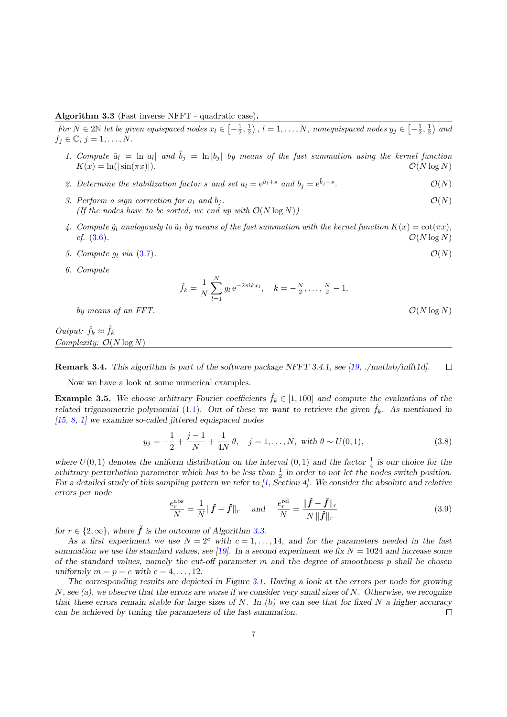## <span id="page-6-0"></span>Algorithm 3.3 (Fast inverse NFFT - quadratic case).

For  $N \in 2\mathbb{N}$  let be given equispaced nodes  $x_l \in \left[-\frac{1}{2},\frac{1}{2}\right)$ ,  $l=1,\ldots,N$ , nonequispaced nodes  $y_j \in \left[-\frac{1}{2},\frac{1}{2}\right)$  and  $f_j \in \mathbb{C}, j = 1, \ldots, N.$ 

- 1. Compute  $\tilde{a}_l = \ln |a_l|$  and  $\tilde{b}_j = \ln |b_j|$  by means of the fast summation using the kernel function  $K(x) = \ln(|\sin(\pi x)|).$   $\mathcal{O}(N \log N)$
- 2. Determine the stabilization factor s and set  $a_l = e^{\tilde{a}_l + s}$  and  $b_j = e^{\tilde{b}_j s}$  $\mathcal{O}(N)$
- 3. Perform a sign correction for  $a_l$  and  $b_j$ .  $\mathcal{O}(N)$ (If the nodes have to be sorted, we end up with  $\mathcal{O}(N \log N)$ )
- 4. Compute  $\tilde{q}_l$  analogously to  $\tilde{a}_l$  by means of the fast summation with the kernel function  $K(x) = \cot(\pi x)$ , cf.  $(3.6)$ .  $\mathcal{O}(N \log N)$
- 5. Compute  $g_l$  via [\(3.7\)](#page-5-0).  $\mathcal{O}(N)$
- 6. Compute

$$
\check{f}_k = \frac{1}{N} \sum_{l=1}^N g_l e^{-2\pi i k x_l}, \quad k = -\frac{N}{2}, \dots, \frac{N}{2} - 1,
$$

by means of an FFT.  $\mathcal{O}(N \log N)$ 

Output:  $\check{f}_k \approx \hat{f}_k$ Complexity:  $\mathcal{O}(N \log N)$ 

 $\Box$ Remark 3.4. This algorithm is part of the software package NFFT 3.4.1, see [\[19,](#page-25-0) ./matlab/infft1d].

Now we have a look at some numerical examples.

**Example 3.5.** We choose arbitrary Fourier coefficients  $\hat{f}_k \in [1, 100]$  and compute the evaluations of the related trigonometric polynomial [\(1.1\)](#page-0-0). Out of these we want to retrieve the given  $\hat{f}_k$ . As mentioned in  $[15, 8, 1]$  $[15, 8, 1]$  $[15, 8, 1]$  $[15, 8, 1]$  $[15, 8, 1]$  we examine so-called jittered equispaced nodes

$$
y_j = -\frac{1}{2} + \frac{j-1}{N} + \frac{1}{4N}\theta, \quad j = 1, ..., N, \text{ with } \theta \sim U(0, 1), \tag{3.8}
$$

where  $U(0,1)$  denotes the uniform distribution on the interval  $(0,1)$  and the factor  $\frac{1}{4}$  is our choice for the arbitrary perturbation parameter which has to be less than  $\frac{1}{2}$  in order to not let the nodes switch position. For a detailed study of this sampling pattern we refer to [\[1,](#page-25-0) Section 4]. We consider the absolute and relative errors per node

$$
\frac{e_r^{\text{abs}}}{N} = \frac{1}{N} \|\hat{f} - \check{f}\|_r \quad \text{and} \quad \frac{e_r^{\text{rel}}}{N} = \frac{\|\hat{f} - \check{f}\|_r}{N \|\hat{f}\|_r}
$$
(3.9)

for  $r \in \{2, \infty\}$ , where  $\check{f}$  is the outcome of Algorithm 3.3.

As a first experiment we use  $N = 2<sup>c</sup>$  with  $c = 1, \ldots, 14$ , and for the parameters needed in the fast summation we use the standard values, see [\[19\]](#page-25-0). In a second experiment we fix  $N = 1024$  and increase some of the standard values, namely the cut-off parameter  $m$  and the degree of smoothness  $p$  shall be chosen uniformly  $m = p = c$  with  $c = 4, \ldots, 12$ .

The corresponding results are depicted in Figure [3.1.](#page-7-0) Having a look at the errors per node for growing N, see (a), we observe that the errors are worse if we consider very small sizes of N. Otherwise, we recognize that these errors remain stable for large sizes of N. In  $(b)$  we can see that for fixed N a higher accuracy can be achieved by tuning the parameters of the fast summation.  $\Box$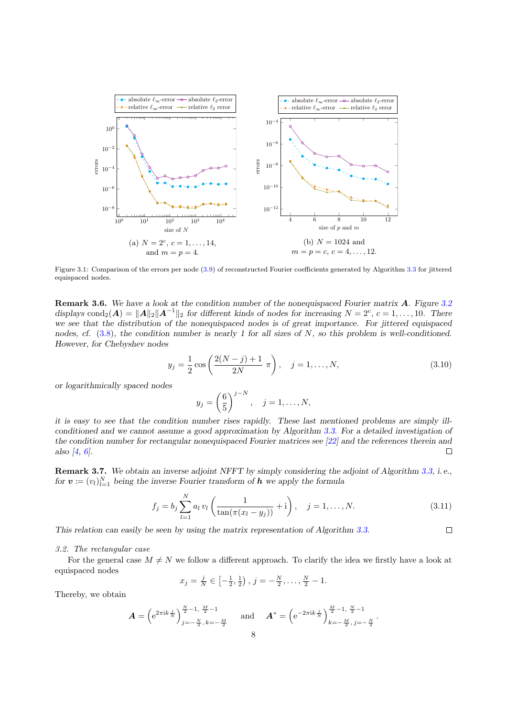<span id="page-7-0"></span>

Figure 3.1: Comparison of the errors per node [\(3.9\)](#page-6-0) of reconstructed Fourier coefficients generated by Algorithm [3.3](#page-6-0) for jittered equispaced nodes.

Remark 3.6. We have a look at the condition number of the nonequispaced Fourier matrix A. Figure [3.2](#page-8-0) displays cond<sub>2</sub>( $\mathbf{A}$ ) =  $\|\mathbf{A}\|_2 \|\mathbf{A}^{-1}\|_2$  for different kinds of nodes for increasing  $N = 2^c$ ,  $c = 1, ..., 10$ . There we see that the distribution of the nonequispaced nodes is of great importance. For jittered equispaced nodes, cf.  $(3.8)$ , the condition number is nearly 1 for all sizes of N, so this problem is well-conditioned. However, for Chebyshev nodes

$$
y_j = \frac{1}{2}\cos\left(\frac{2(N-j)+1}{2N}\pi\right), \quad j = 1, \dots, N,
$$
\n(3.10)

or logarithmically spaced nodes

$$
y_j = \left(\frac{6}{5}\right)^{j-N}, \quad j = 1, ..., N,
$$

it is easy to see that the condition number rises rapidly. These last mentioned problems are simply illconditioned and we cannot assume a good approximation by Algorithm [3.3.](#page-6-0) For a detailed investigation of the condition number for rectangular nonequispaced Fourier matrices see [\[22\]](#page-25-0) and the references therein and also [\[4,](#page-25-0) [6\]](#page-25-0).  $\Box$ 

Remark 3.7. We obtain an inverse adjoint NFFT by simply considering the adjoint of Algorithm [3.3,](#page-6-0) i.e., for  $\mathbf{v} := (v_l)_{l=1}^N$  being the inverse Fourier transform of  $\mathbf{h}$  we apply the formula

$$
f_j = b_j \sum_{l=1}^{N} a_l v_l \left( \frac{1}{\tan(\pi(x_l - y_j))} + i \right), \quad j = 1, ..., N.
$$
 (3.11)

 $\Box$ 

This relation can easily be seen by using the matrix representation of Algorithm [3.3.](#page-6-0)

#### 3.2. The rectangular case

For the general case  $M \neq N$  we follow a different approach. To clarify the idea we firstly have a look at equispaced nodes

$$
x_j = \frac{j}{N} \in \left[-\frac{1}{2}, \frac{1}{2}\right), j = -\frac{N}{2}, \dots, \frac{N}{2} - 1.
$$

Thereby, we obtain

$$
\mathbf{A} = \left( e^{2\pi i k \frac{j}{N}} \right)_{j=-\frac{N}{2}, k=-\frac{M}{2}}^{\frac{N}{2}-1, \frac{M}{2}-1} \quad \text{and} \quad \mathbf{A}^* = \left( e^{-2\pi i k \frac{j}{N}} \right)_{k=-\frac{M}{2}, j=-\frac{N}{2}}^{\frac{M}{2}-1, \frac{N}{2}-1}.
$$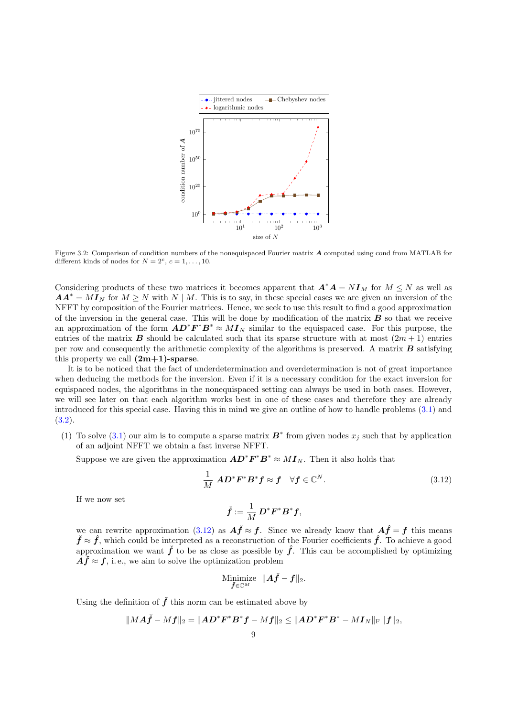<span id="page-8-0"></span>

Figure 3.2: Comparison of condition numbers of the nonequispaced Fourier matrix A computed using cond from MATLAB for different kinds of nodes for  $N = 2^c$ ,  $c = 1, \ldots, 10$ .

Considering products of these two matrices it becomes apparent that  $A^*A = NI_M$  for  $M \leq N$  as well as  $AA^* = MI_N$  for  $M \geq N$  with  $N \mid M$ . This is to say, in these special cases we are given an inversion of the NFFT by composition of the Fourier matrices. Hence, we seek to use this result to find a good approximation of the inversion in the general case. This will be done by modification of the matrix  $\bf{B}$  so that we receive an approximation of the form  $AD^*F^*B^* \approx MI_N$  similar to the equispaced case. For this purpose, the entries of the matrix **B** should be calculated such that its sparse structure with at most  $(2m + 1)$  entries per row and consequently the arithmetic complexity of the algorithms is preserved. A matrix  $\bm{B}$  satisfying this property we call  $(2m+1)$ -sparse.

It is to be noticed that the fact of underdetermination and overdetermination is not of great importance when deducing the methods for the inversion. Even if it is a necessary condition for the exact inversion for equispaced nodes, the algorithms in the nonequispaced setting can always be used in both cases. However, we will see later on that each algorithm works best in one of these cases and therefore they are already introduced for this special case. Having this in mind we give an outline of how to handle problems [\(3.1\)](#page-4-0) and  $(3.2).$  $(3.2).$ 

(1) To solve [\(3.1\)](#page-4-0) our aim is to compute a sparse matrix  $\mathbf{B}^*$  from given nodes  $x_j$  such that by application of an adjoint NFFT we obtain a fast inverse NFFT.

Suppose we are given the approximation  $AD^*F^*B^* \approx MI_N$ . Then it also holds that

1  $\frac{1}{M} \; \bm{A} \bm{D}^* \bm{F}^* \bm{B}^* \bm{f} \approx \bm{f} \quad \forall \bm{f} \in \mathbb{C}$  $(3.12)$ 

If we now set

$$
\check{\boldsymbol{f}} := \frac{1}{M} \boldsymbol{D}^* \boldsymbol{F}^* \boldsymbol{B}^* \boldsymbol{f},
$$

we can rewrite approximation (3.12) as  $\vec{A} \cdot \vec{f}$  is since we already know that  $\vec{A} \cdot \vec{f} = f$  this means  $\check{f} \approx \hat{f}$ , which could be interpreted as a reconstruction of the Fourier coefficients  $\hat{f}$ . To achieve a good approximation we want  $\check{f}$  to be as close as possible by  $\hat{f}$ . This can be accomplished by optimizing  $A\ddot{f} \approx \dot{f}$ , i.e., we aim to solve the optimization problem

$$
\underset{\boldsymbol{\check{f}}\in\mathbb{C}^{M}}{\text{Minimize}}\;\;\|\boldsymbol{A}\boldsymbol{\check{f}}-\boldsymbol{f}\|_{2}.
$$

Using the definition of  $\check{f}$  this norm can be estimated above by

$$
\|M\boldsymbol A\check{\boldsymbol f}-M\boldsymbol f\|_2=\|\boldsymbol A\boldsymbol D^*\boldsymbol F^*\boldsymbol B^*\boldsymbol f-M\boldsymbol f\|_2\leq \|\boldsymbol A\boldsymbol D^*\boldsymbol F^*\boldsymbol B^*-M\boldsymbol I_N\|_{\rm F}\,\|\boldsymbol f\|_2,
$$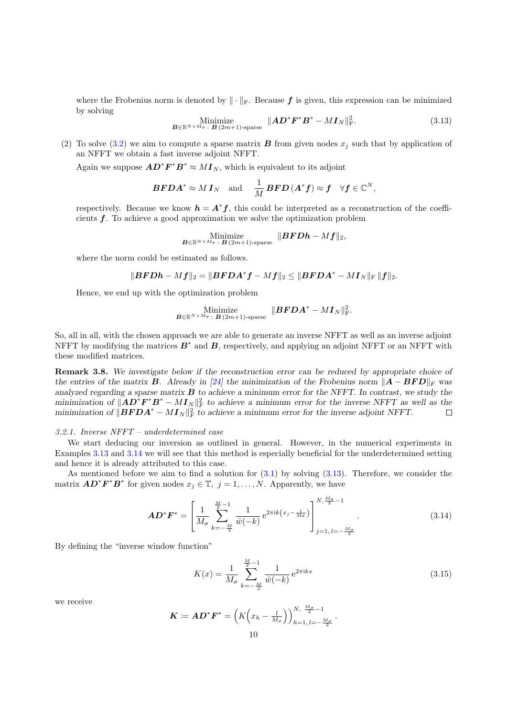<span id="page-9-0"></span>where the Frobenius norm is denoted by  $\|\cdot\|_{\text{F}}$ . Because f is given, this expression can be minimized by solving

Minimize  

$$
B \in \mathbb{R}^{N \times M_{\sigma}} : B(2m+1) \text{-sparse} \quad \|AD^*F^*B^* - MI_N\|_{\text{F}}^2. \tag{3.13}
$$

(2) To solve [\(3.2\)](#page-4-0) we aim to compute a sparse matrix **B** from given nodes  $x_j$  such that by application of an NFFT we obtain a fast inverse adjoint NFFT.

Again we suppose  $AD^*F^*B^* \approx MI_N$ , which is equivalent to its adjoint

$$
\boldsymbol{BFDA}^* \approx M \boldsymbol{I}_N \quad \text{and} \quad \frac{1}{M} \boldsymbol{BFD} \left( \boldsymbol{A}^* \boldsymbol{f} \right) \approx \boldsymbol{f} \quad \forall \boldsymbol{f} \in \mathbb{C}^N,
$$

respectively. Because we know  $h = A^*f$ , this could be interpreted as a reconstruction of the coefficients f. To achieve a good approximation we solve the optimization problem

$$
\operatornamewithlimits{Minimize}_{\boldsymbol{B}\in\mathbb{R}^{N\times M_{\sigma}}\colon\boldsymbol{B}\,(2m+1)\text{-sparse}}\;\|\boldsymbol{B}\boldsymbol{F}\boldsymbol{D}\boldsymbol{h}-M\boldsymbol{f}\|_2,
$$

where the norm could be estimated as follows.

$$
\|\boldsymbol{BFDh}-M\boldsymbol{f}\|_2=\|\boldsymbol{BFDA}^*\boldsymbol{f}-M\boldsymbol{f}\|_2\leq\|\boldsymbol{BFDA}^* -M\boldsymbol{I}_N\|_{\mathrm{F}}\,\|\boldsymbol{f}\|_2.
$$

Hence, we end up with the optimization problem

Minimize  

$$
B \in \mathbb{R}^{N \times M_{\sigma}}
$$
:  $B(2m+1)$ -sparse  $||B\mathbf{F} \mathbf{D} \mathbf{A}^* - M\mathbf{I}_N||^2_{\mathrm{F}}$ .

So, all in all, with the chosen approach we are able to generate an inverse NFFT as well as an inverse adjoint NFFT by modifying the matrices  $B^*$  and  $B$ , respectively, and applying an adjoint NFFT or an NFFT with these modified matrices.

Remark 3.8. We investigate below if the reconstruction error can be reduced by appropriate choice of the entries of the matrix **B**. Already in [\[24\]](#page-25-0) the minimization of the Frobenius norm  $||A - BFD||_F$  was analyzed regarding a sparse matrix  $B$  to achieve a minimum error for the NFFT. In contrast, we study the minimization of  $||AD^*F^*B^* - MI_N||_F^2$  to achieve a minimum error for the inverse NFFT as well as the minimization of  $||\boldsymbol{BFDA}^* - \boldsymbol{MI_N}||_F^2$  to achieve a minimum error for the inverse adjoint NFFT.  $\Box$ 

### 3.2.1. Inverse NFFT – underdetermined case

We start deducing our inversion as outlined in general. However, in the numerical experiments in Examples [3.13](#page-12-0) and [3.14](#page-12-0) we will see that this method is especially beneficial for the underdetermined setting and hence it is already attributed to this case.

As mentioned before we aim to find a solution for  $(3.1)$  by solving  $(3.13)$ . Therefore, we consider the matrix  $\boldsymbol{A}\boldsymbol{D}^*\boldsymbol{F}^*\boldsymbol{B}^*$  for given nodes  $x_j \in \mathbb{T}, j = 1, \ldots, N$ . Apparently, we have

$$
AD^*F^* = \left[\frac{1}{M_{\sigma}} \sum_{k=-\frac{M}{2}}^{\frac{M}{2}-1} \frac{1}{\hat{w}(-k)} e^{2\pi i k (x_j - \frac{l}{M_{\sigma}})}\right]_{j=1, l=-\frac{M_{\sigma}}{2}}^{N, \frac{M_{\sigma}}{2}-1}.
$$
(3.14)

By defining the "inverse window function"

$$
K(x) = \frac{1}{M_{\sigma}} \sum_{k=-\frac{M}{2}}^{\frac{M}{2}-1} \frac{1}{\hat{w}(-k)} e^{2\pi ikx}
$$
\n(3.15)

we receive

$$
\boldsymbol{K} \coloneqq \boldsymbol{A} \boldsymbol{D}^* \boldsymbol{F}^* = \left( K \left( x_h - \frac{l}{M_\sigma} \right) \right)_{h=1, l=-\frac{M_\sigma}{2}}^{N, \frac{M_\sigma}{2}-1}.
$$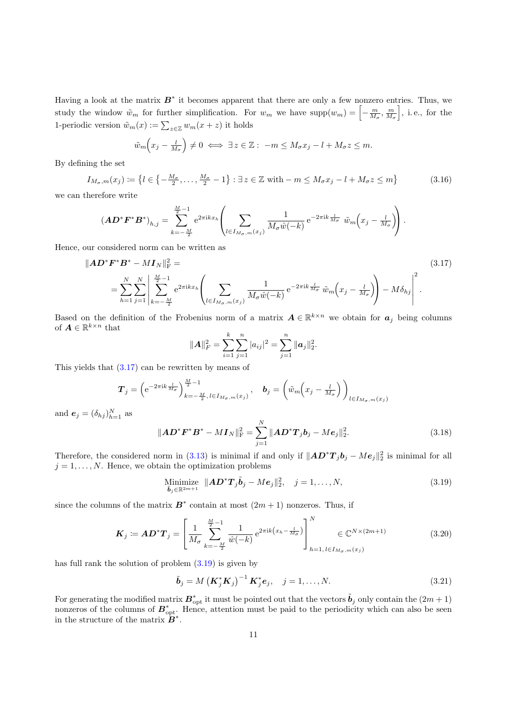<span id="page-10-0"></span>Having a look at the matrix  $B^*$  it becomes apparent that there are only a few nonzero entries. Thus, we study the window  $\tilde{w}_m$  for further simplification. For  $w_m$  we have  $\text{supp}(w_m) = \left[-\frac{m}{M_\sigma}, \frac{m}{M_\sigma}\right]$ , i.e., for the 1-periodic version  $\tilde{w}_m(x) := \sum_{z \in \mathbb{Z}} w_m(x + z)$  it holds

$$
\tilde{w}_m\left(x_j - \frac{l}{M_\sigma}\right) \neq 0 \iff \exists z \in \mathbb{Z} : -m \leq M_\sigma x_j - l + M_\sigma z \leq m.
$$

By defining the set

$$
I_{M_{\sigma},m}(x_j) \coloneqq \left\{ l \in \left\{ -\frac{M_{\sigma}}{2}, \dots, \frac{M_{\sigma}}{2} - 1 \right\} : \exists z \in \mathbb{Z} \text{ with } -m \le M_{\sigma} x_j - l + M_{\sigma} z \le m \right\}
$$
(3.16)

we can therefore write

$$
\left(\boldsymbol{A}\boldsymbol{D}^*\boldsymbol{F}^*\boldsymbol{B}^*\right)_{h,j} = \sum_{k=-\frac{M}{2}}^{\frac{M}{2}-1} e^{2\pi i k x_h} \left( \sum_{l \in I_{M_\sigma,m}(x_j)} \frac{1}{M_\sigma \hat{w}(-k)} e^{-2\pi i k \frac{l}{M_\sigma}} \tilde{w}_m\left(x_j - \frac{l}{M_\sigma}\right) \right).
$$

Hence, our considered norm can be written as

$$
\|\mathbf{A}\mathbf{D}^*\mathbf{F}^*\mathbf{B}^* - M\mathbf{I}_N\|_{\mathrm{F}}^2 =
$$
\n
$$
= \sum_{h=1}^N \sum_{j=1}^N \left| \sum_{k=-\frac{M}{2}}^{\frac{M}{2}-1} e^{2\pi i k x_h} \left( \sum_{l \in I_{M_\sigma,m}(x_j)} \frac{1}{M_\sigma \hat{w}(-k)} e^{-2\pi i k \frac{l}{M_\sigma}} \tilde{w}_m \left( x_j - \frac{l}{M_\sigma} \right) \right) - M \delta_{hj} \right|^2.
$$
\n(3.17)

Based on the definition of the Frobenius norm of a matrix  $A \in \mathbb{R}^{k \times n}$  we obtain for  $a_j$  being columns of  $A \in \mathbb{R}^{k \times n}$  that<br> $||A||_F^2 = \sum_{k=1}^k \sum_{a=1}^n |a_{ij}|^2 = \sum_{k=1}^k |a_{ik}|^2$ 

$$
||A||_F^2 = \sum_{i=1}^k \sum_{j=1}^n |a_{ij}|^2 = \sum_{j=1}^n ||a_j||_2^2.
$$

This yields that (3.17) can be rewritten by means of

$$
\boldsymbol{T}_j = \left(\mathrm{e}^{-2\pi\mathrm{i}k\frac{l}{M_{\sigma}}}\right)_{k=-\frac{M}{2},\,l\in I_{M_{\sigma},m}(x_j)}^{\frac{M}{2}-1},\quad \boldsymbol{b}_j = \left(\tilde{w}_m\left(x_j - \frac{l}{M_{\sigma}}\right)\right)_{l\in I_{M_{\sigma},m}(x_j)}
$$

and  $e_j = (\delta_{hj})_{h=1}^N$  as

$$
\|\mathbf{A}\mathbf{D}^*\mathbf{F}^*\mathbf{B}^* - M\mathbf{I}_N\|_{\text{F}}^2 = \sum_{j=1}^N \|\mathbf{A}\mathbf{D}^*\mathbf{T}_j\mathbf{b}_j - M\mathbf{e}_j\|_2^2.
$$
 (3.18)

Therefore, the considered norm in [\(3.13\)](#page-9-0) is minimal if and only if  $||AD^*T_jb_j - Me_j||_2^2$  is minimal for all  $j = 1, \ldots, N$ . Hence, we obtain the optimization problems

Minimize 
$$
\|\mathbf{A}\mathbf{D}^*\mathbf{T}_j\tilde{\mathbf{b}}_j - M\mathbf{e}_j\|_2^2, \quad j = 1, ..., N,
$$
 (3.19)

since the columns of the matrix  $B^*$  contain at most  $(2m+1)$  nonzeros. Thus, if

$$
\boldsymbol{K}_{j} \coloneqq \boldsymbol{A} \boldsymbol{D}^{*} \boldsymbol{T}_{j} = \left[ \frac{1}{M_{\sigma}} \sum_{k=-\frac{M}{2}}^{\frac{M}{2}-1} \frac{1}{\hat{w}(-k)} e^{2\pi i k \left( x_{h} - \frac{l}{M_{\sigma}} \right)} \right]_{h=1, l \in I_{M_{\sigma},m}(x_{j})}^{N} \in \mathbb{C}^{N \times (2m+1)}
$$
(3.20)

has full rank the solution of problem  $(3.19)$  is given by

$$
\tilde{\boldsymbol{b}}_{j} = M \left( \boldsymbol{K}_{j}^{*} \boldsymbol{K}_{j} \right)^{-1} \boldsymbol{K}_{j}^{*} \boldsymbol{e}_{j}, \quad j = 1, \dots, N. \tag{3.21}
$$

For generating the modified matrix  $B_{\text{opt}}^*$  it must be pointed out that the vectors  $\tilde{b}_j$  only contain the  $(2m + 1)$ nonzeros of the columns of  $B^*_{\text{opt}}$ . Hence, attention must be paid to the periodicity which can also be seen in the structure of the matrix  $B^*$ .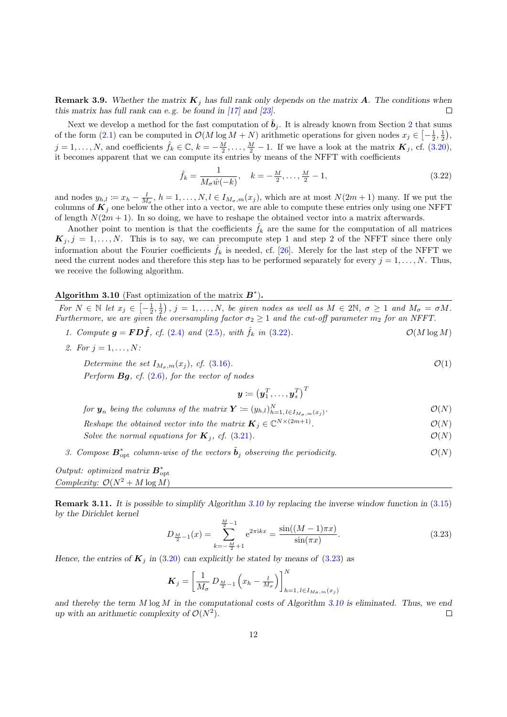<span id="page-11-0"></span>**Remark 3.9.** Whether the matrix  $K_j$  has full rank only depends on the matrix A. The conditions when this matrix has full rank can e. g. be found in [\[17\]](#page-25-0) and [\[23\]](#page-25-0).  $\Box$ 

Next we develop a method for the fast computation of  $\tilde{b}_j$ . It is already known from Section [2](#page-1-0) that sums of the form [\(2.1\)](#page-1-0) can be computed in  $\mathcal{O}(M \log M + N)$  arithmetic operations for given nodes  $x_j \in \left[-\frac{1}{2}, \frac{1}{2}\right)$ ,  $j = 1, \ldots, N$ , and coefficients  $\hat{f}_k \in \mathbb{C}$ ,  $k = -\frac{M}{2}, \ldots, \frac{M}{2} - 1$ . If we have a look at the matrix  $\mathbf{K}_j$ , cf. [\(3.20\)](#page-10-0), it becomes apparent that we can compute its entries by means of the NFFT with coefficients

$$
\hat{f}_k = \frac{1}{M_\sigma \hat{w}(-k)}, \quad k = -\frac{M}{2}, \dots, \frac{M}{2} - 1,\tag{3.22}
$$

and nodes  $y_{h,l} \coloneqq x_h - \frac{l}{M_\sigma}, h = 1, \ldots, N, l \in I_{M_\sigma,m}(x_j)$ , which are at most  $N(2m+1)$  many. If we put the columns of  $K_j$  one below the other into a vector, we are able to compute these entries only using one NFFT of length  $N(2m + 1)$ . In so doing, we have to reshape the obtained vector into a matrix afterwards.

Another point to mention is that the coefficients  $\hat{f}_k$  are the same for the computation of all matrices  $\mathbf{K}_j, j = 1, \ldots, N$ . This is to say, we can precompute step 1 and step 2 of the NFFT since there only information about the Fourier coefficients  $f_k$  is needed, cf. [\[26\]](#page-25-0). Merely for the last step of the NFFT we need the current nodes and therefore this step has to be performed separately for every  $j = 1, \ldots, N$ . Thus, we receive the following algorithm.

## Algorithm 3.10 (Fast optimization of the matrix  $B^*$ ).

For  $N \in \mathbb{N}$  let  $x_j \in \left[-\frac{1}{2},\frac{1}{2}\right)$ ,  $j = 1,\ldots,N$ , be given nodes as well as  $M \in 2\mathbb{N}$ ,  $\sigma \geq 1$  and  $M_{\sigma} = \sigma M$ . Furthermore, we are given the oversampling factor  $\sigma_2 \geq 1$  and the cut-off parameter  $m_2$  for an NFFT.

1. Compute  $g = FD\hat{f}$ , cf. [\(2.4\)](#page-2-0) and [\(2.5\)](#page-3-0), with  $\hat{f}_k$  in (3.22).  $\mathcal{O}(M \log M)$ 

2. For 
$$
j = 1, \ldots, N
$$
:

Determine the set  $I_{M_{\sigma},m}(x_i)$ , cf. [\(3.16\)](#page-10-0).  $\mathcal{O}(1)$ Perform  $Bg$ , cf.  $(2.6)$ , for the vector of nodes

$$
\boldsymbol{y} \coloneqq \left(\boldsymbol{y}_1^T,\ldots,\boldsymbol{y}_s^T\right)^T
$$

for  $\bm{y}_n$  being the columns of the matrix  $\bm{Y} \coloneqq (y_{h,l})_{h=1,\,l\in I_{M_\sigma,m}(x_j)}^N$  $\mathcal{O}(N)$ 

Reshape the obtained vector into the matrix  $\mathbf{K}_j \in \mathbb{C}^{N \times (2m+1)}$  $\mathcal{O}(N)$ 

- Solve the normal equations for  $\mathbf{K}_j$ , cf. [\(3.21\)](#page-10-0).  $\mathcal{O}(N)$
- 3. Compose  $\mathbf{B}_{\text{opt}}^*$  column-wise of the vectors  $\tilde{\mathbf{b}}_j$  observing the periodicity.  $\mathcal{O}(N)$

Output: optimized matrix  $\mathbf{B}_{\text{opt}}^*$ Complexity:  $\mathcal{O}(N^2 + M \log M)$ 

Remark 3.11. It is possible to simplify Algorithm 3.10 by replacing the inverse window function in [\(3.15\)](#page-9-0) by the Dirichlet kernel

$$
D_{\frac{M}{2}-1}(x) = \sum_{k=-\frac{M}{2}+1}^{\frac{M}{2}-1} e^{2\pi ikx} = \frac{\sin((M-1)\pi x)}{\sin(\pi x)}.
$$
 (3.23)

Hence, the entries of  $\boldsymbol{K}_i$  in [\(3.20\)](#page-10-0) can explicitly be stated by means of (3.23) as

$$
\boldsymbol{K}_{j} = \left[\frac{1}{M_{\sigma}} \, D_{\frac{M}{2}-1} \left(x_{h} - \frac{l}{M_{\sigma}}\right)\right]_{h=1, l \in I_{M_{\sigma}, m}(x_{j})}^{N}
$$

and thereby the term  $M \log M$  in the computational costs of Algorithm 3.10 is eliminated. Thus, we end up with an arithmetic complexity of  $\mathcal{O}(N^2)$ .  $\Box$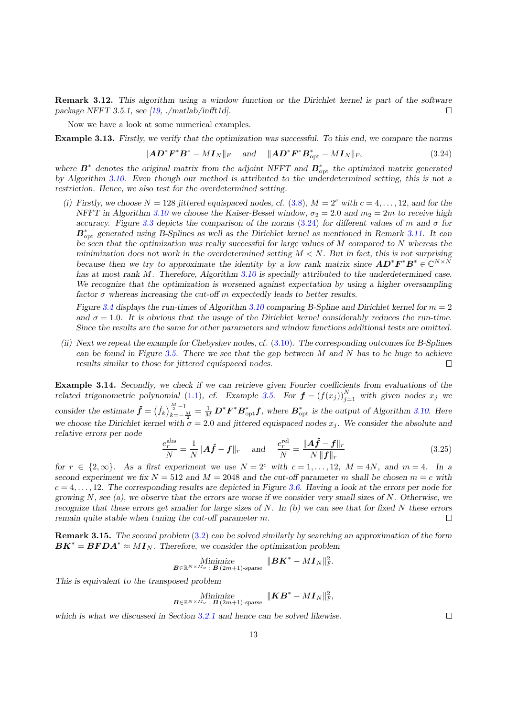<span id="page-12-0"></span>Remark 3.12. This algorithm using a window function or the Dirichlet kernel is part of the software package NFFT 3.5.1, see [\[19,](#page-25-0) ./matlab/infft1d].  $\Box$ 

Now we have a look at some numerical examples.

Example 3.13. Firstly, we verify that the optimization was successful. To this end, we compare the norms

$$
\|\mathbf{A}\mathbf{D}^*\mathbf{F}^*\mathbf{B}^* - M\mathbf{I}_N\|_F \quad \text{and} \quad \|\mathbf{A}\mathbf{D}^*\mathbf{F}^*\mathbf{B}_{\rm opt}^* - M\mathbf{I}_N\|_F, \tag{3.24}
$$

where  $\mathbf{B}^*$  denotes the original matrix from the adjoint NFFT and  $\mathbf{B}_{\text{opt}}^*$  the optimized matrix generated by Algorithm [3.10.](#page-11-0) Even though our method is attributed to the underdetermined setting, this is not a restriction. Hence, we also test for the overdetermined setting.

(i) Firstly, we choose  $N = 128$  jittered equispaced nodes, cf. [\(3.8\)](#page-6-0),  $M = 2<sup>c</sup>$  with  $c = 4, ..., 12$ , and for the NFFT in Algorithm [3.10](#page-11-0) we choose the Kaiser-Bessel window,  $\sigma_2 = 2.0$  and  $m_2 = 2m$  to receive high accuracy. Figure [3.3](#page-13-0) depicts the comparison of the norms (3.24) for different values of m and  $\sigma$  for  $B_{\rm opt}^*$  generated using B-Splines as well as the Dirichlet kernel as mentioned in Remark [3.11.](#page-11-0) It can be seen that the optimization was really successful for large values of  $M$  compared to  $N$  whereas the minimization does not work in the overdetermined setting  $M < N$ . But in fact, this is not surprising because then we try to approximate the identity by a low rank matrix since  $AD^*F^*B^* \in \mathbb{C}^{N \times N}$ has at most rank M. Therefore, Algorithm [3.10](#page-11-0) is specially attributed to the underdetermined case. We recognize that the optimization is worsened against expectation by using a higher oversampling factor  $\sigma$  whereas increasing the cut-off m expectedly leads to better results.

Figure [3.4](#page-13-0) displays the run-times of Algorithm [3.10](#page-11-0) comparing B-Spline and Dirichlet kernel for  $m = 2$ and  $\sigma = 1.0$ . It is obvious that the usage of the Dirichlet kernel considerably reduces the run-time. Since the results are the same for other parameters and window functions additional tests are omitted.

(ii) Next we repeat the example for Chebyshev nodes, cf. [\(3.10\)](#page-7-0). The corresponding outcomes for B-Splines can be found in Figure [3.5.](#page-13-0) There we see that the gap between  $M$  and  $N$  has to be huge to achieve results similar to those for jittered equispaced nodes.  $\Box$ 

Example 3.14. Secondly, we check if we can retrieve given Fourier coefficients from evaluations of the related trigonometric polynomial [\(1.1\)](#page-0-0), cf. Example [3.5.](#page-6-0) For  $\boldsymbol{f} = (f(x_j))_{j=1}^N$  with given nodes  $x_j$  we consider the estimate  $\check{f} = (\check{f}_k)_{k=-\infty}^{\frac{M}{2}-1}$  $\frac{E_{\overline{z}}-1}{E_{\overline{z}}-1} = \frac{1}{M} \mathbf{D}^* \mathbf{F}^* \mathbf{B}_{\text{opt}}^* \mathbf{f}$ , where  $\mathbf{B}_{\text{opt}}^*$  is the output of Algorithm [3.10.](#page-11-0) Here we choose the Dirichlet kernel with  $\sigma = 2.0$  and jittered equispaced nodes  $x_j$ . We consider the absolute and relative errors per node

$$
\frac{e_r^{\text{abs}}}{N} = \frac{1}{N} \|\boldsymbol{A}\boldsymbol{\check{f}} - \boldsymbol{f}\|_r \quad \text{and} \quad \frac{e_r^{\text{rel}}}{N} = \frac{\|\boldsymbol{A}\boldsymbol{\check{f}} - \boldsymbol{f}\|_r}{N\|\boldsymbol{f}\|_r}
$$
(3.25)

for  $r \in \{2,\infty\}$ . As a first experiment we use  $N = 2^c$  with  $c = 1, \ldots, 12, M = 4N$ , and  $m = 4$ . In a second experiment we fix  $N = 512$  and  $M = 2048$  and the cut-off parameter m shall be chosen  $m = c$  with  $c = 4, \ldots, 12$ . The corresponding results are depicted in Figure [3.6.](#page-14-0) Having a look at the errors per node for growing  $N$ , see (a), we observe that the errors are worse if we consider very small sizes of  $N$ . Otherwise, we recognize that these errors get smaller for large sizes of  $N$ . In  $(b)$  we can see that for fixed  $N$  these errors remain quite stable when tuning the cut-off parameter m.  $\Box$ 

Remark 3.15. The second problem [\(3.2\)](#page-4-0) can be solved similarly by searching an approximation of the form  $\boldsymbol{B}\boldsymbol{K}^* = \boldsymbol{B}\boldsymbol{F}\boldsymbol{D}\boldsymbol{A}^* \approx M\boldsymbol{I}_N$ . Therefore, we consider the optimization problem

$$
\underset{\bm{B} \in \mathbb{R}^{N \times M_{\sigma}} : \ \bm{B} \ (2m+1) \text{-sparse}}{\text{Minimize}} \ \ \|\bm{B} \bm{K}^* - M \bm{I}_{N}\|_F^2.
$$

This is equivalent to the transposed problem

$$
\underset{\boldsymbol{B} \in \mathbb{R}^{N \times M_{\sigma}} : \ \boldsymbol{B} \ (2m+1) \text{-sparse}}{\text{Minimize}} \ \ \|\boldsymbol{K}\boldsymbol{B}^* - \boldsymbol{M}\boldsymbol{I}_N\|_F^2,
$$

which is what we discussed in Section [3.2.1](#page-9-0) and hence can be solved likewise.

 $\Box$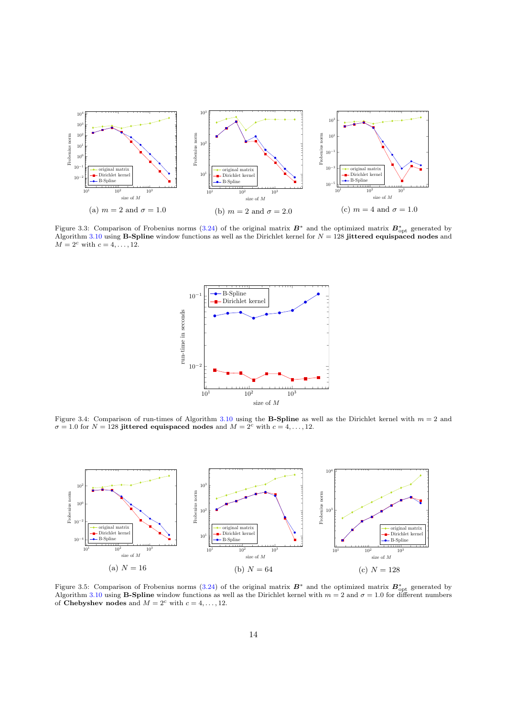<span id="page-13-0"></span>

Figure 3.3: Comparison of Frobenius norms [\(3.24\)](#page-12-0) of the original matrix  $B^*$  and the optimized matrix  $B^*_{\text{opt}}$  generated by Algorithm [3.10](#page-11-0) using **B-Spline** window functions as well as the Dirichlet kernel for  $N = 128$  **jittered equispaced nodes** and  $M=2^c$  with  $c=4,\ldots,12.$ 



Figure 3.4: Comparison of run-times of Algorithm [3.10](#page-11-0) using the **B-Spline** as well as the Dirichlet kernel with  $m = 2$  and  $\sigma = 1.0$  for  $N = 128$  jittered equispaced nodes and  $M = 2<sup>c</sup>$  with  $c = 4, ..., 12$ .



Figure 3.5: Comparison of Frobenius norms [\(3.24\)](#page-12-0) of the original matrix  $B^*$  and the optimized matrix  $B_{\text{opt}}^*$  generated by Algorithm [3.10](#page-11-0) using **B-Spline** window functions as well as the Dirichlet kernel with  $m = 2$  of Chebyshev nodes and  $M = 2<sup>c</sup>$  with  $c = 4, ..., 12$ .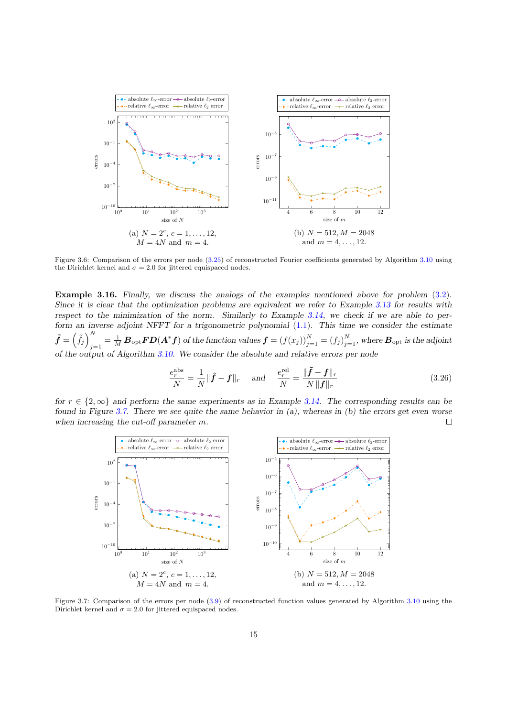<span id="page-14-0"></span>

Figure 3.6: Comparison of the errors per node [\(3.25\)](#page-12-0) of reconstructed Fourier coefficients generated by Algorithm [3.10](#page-11-0) using the Dirichlet kernel and  $\sigma = 2.0$  for jittered equispaced nodes.

Example 3.16. Finally, we discuss the analogs of the examples mentioned above for problem [\(3.2\)](#page-4-0). Since it is clear that the optimization problems are equivalent we refer to Example [3.13](#page-12-0) for results with respect to the minimization of the norm. Similarly to Example [3.14,](#page-12-0) we check if we are able to perform an inverse adjoint NFFT for a trigonometric polynomial [\(1.1\)](#page-0-0). This time we consider the estimate  $\tilde{\bm{f}}=\left(\tilde{f}_j\right)^N$  $j_{j=1}^N=\frac{1}{M}\,\bm B_{\rm opt}\bm F \bm D(\bm A^*\bm f)$  of the function values  $\bm f=(f(x_j))_{j=1}^N=(f_j)_{j=1}^N,$  where  $\bm B_{\rm opt}$  is the adjoint of the output of Algorithm [3.10.](#page-11-0) We consider the absolute and relative errors per node

$$
\frac{e_r^{\text{abs}}}{N} = \frac{1}{N} \|\tilde{\boldsymbol{f}} - \boldsymbol{f}\|_r \quad \text{and} \quad \frac{e_r^{\text{rel}}}{N} = \frac{\|\tilde{\boldsymbol{f}} - \boldsymbol{f}\|_r}{N \|\boldsymbol{f}\|_r}
$$
(3.26)

for  $r \in \{2, \infty\}$  and perform the same experiments as in Example [3.14.](#page-12-0) The corresponding results can be found in Figure 3.7. There we see quite the same behavior in  $(a)$ , whereas in  $(b)$  the errors get even worse when increasing the cut-off parameter m.  $\Box$ 



Figure 3.7: Comparison of the errors per node [\(3.9\)](#page-6-0) of reconstructed function values generated by Algorithm [3.10](#page-11-0) using the Dirichlet kernel and  $\sigma = 2.0$  for jittered equispaced nodes.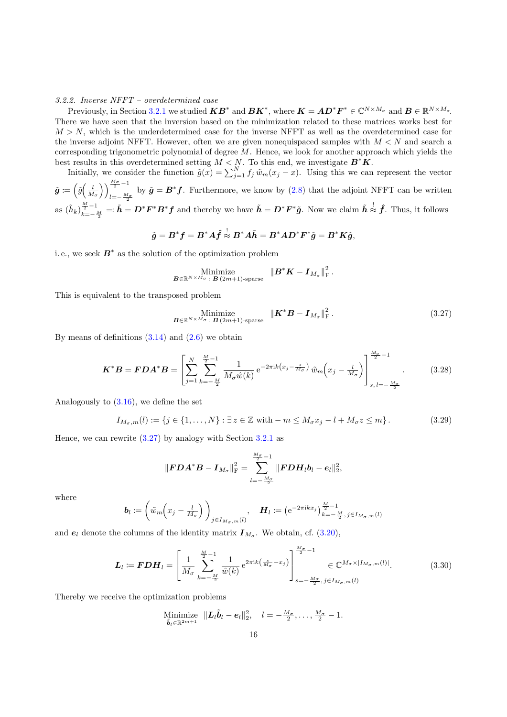#### <span id="page-15-0"></span>3.2.2. Inverse NFFT – overdetermined case

Previously, in Section [3.2.1](#page-9-0) we studied  $KB^*$  and  $BK^*$ , where  $K = AD^*F^* \in \mathbb{C}^{N \times M_{\sigma}}$  and  $B \in \mathbb{R}^{N \times M_{\sigma}}$ . There we have seen that the inversion based on the minimization related to these matrices works best for  $M > N$ , which is the underdetermined case for the inverse NFFT as well as the overdetermined case for the inverse adjoint NFFT. However, often we are given nonequispaced samples with  $M < N$  and search a corresponding trigonometric polynomial of degree  $M$ . Hence, we look for another approach which yields the best results in this overdetermined setting  $M < N$ . To this end, we investigate  $\mathbf{B}^* \mathbf{K}$ .

Initially, we consider the function  $\tilde{g}(x) = \sum_{j=1}^{N} f_j \tilde{w}_m(x_j - x)$ . Using this we can represent the vector

 $\tilde{\boldsymbol{g}}\coloneqq\left(\tilde{g}\Big(\frac{l}{M_{\sigma}}\Big)\right)_{l=-\frac{M_{\sigma}}{M_{\sigma}}}^{\frac{M_{\sigma}}{2}-1}$  $\tilde{g} = B^* f$ . Furthermore, we know by [\(2.8\)](#page-3-0) that the adjoint NFFT can be written as  $(\tilde{h}_k)_{k=-1}^{\frac{M}{2}-1}$  $\frac{M}{k}$ <sup>1</sup> =  $\tilde{h} = D^* F^* B^* f$  and thereby we have  $\tilde{h} = D^* F^* \tilde{g}$ . Now we claim  $\tilde{h} \stackrel{!}{\approx} \hat{f}$ . Thus, it follows

$$
\tilde{g} = B^*f = B^*A\hat{f} \stackrel{!}{\approx} B^*A\tilde{h} = B^*AD^*F^*\tilde{g} = B^*K\tilde{g},
$$

i.e., we seek  $B^*$  as the solution of the optimization problem

Minimize  

$$
B \in \mathbb{R}^{N \times M_{\sigma}}
$$
:  $B(2m+1)$ -sparse  $||B^*K - I_{M_{\sigma}}||_F^2$ .

This is equivalent to the transposed problem

Minimize  

$$
\underset{\mathbf{B}\in\mathbb{R}^{N\times M_{\sigma}}\colon\mathbf{B}\,(2m+1)\text{-sparse}}{\text{Minimize}}\quad\|\mathbf{K}^*\mathbf{B}-\mathbf{I}_{M_{\sigma}}\|_{\text{F}}^2\,.
$$
\n(3.27)

By means of definitions  $(3.14)$  and  $(2.6)$  we obtain

$$
\boldsymbol{K}^* \boldsymbol{B} = \boldsymbol{F} \boldsymbol{D} \boldsymbol{A}^* \boldsymbol{B} = \left[ \sum_{j=1}^N \sum_{k=-\frac{M}{2}}^{\frac{M}{2}-1} \frac{1}{M_\sigma \hat{w}(k)} e^{-2\pi i k (x_j - \frac{s}{M_\sigma})} \tilde{w}_m \left( x_j - \frac{l}{M_\sigma} \right) \right]_{s, l = -\frac{M_\sigma}{2}}^{\frac{M_\sigma}{2}-1} . \tag{3.28}
$$

Analogously to [\(3.16\)](#page-10-0), we define the set

$$
I_{M_{\sigma},m}(l) := \{ j \in \{1, \ldots, N\} : \exists z \in \mathbb{Z} \text{ with } -m \le M_{\sigma} x_j - l + M_{\sigma} z \le m \}.
$$
 (3.29)

Hence, we can rewrite  $(3.27)$  by analogy with Section [3.2.1](#page-9-0) as

$$
\left\|{\pmb{FDA}}^*{\pmb{B}} - {\pmb{I}}_{M_\sigma}\right\|_{\rm F}^2 = \sum_{l=-\frac{M_\sigma}{2}}^{\frac{M_\sigma}{2}-1} \|{\pmb{FDH}}_l{\pmb{b}}_l - \pmb{e}_l\|_2^2,
$$

where

$$
\boldsymbol{b}_{l} \coloneqq \left(\tilde{w}_{m}\left(x_{j}-\frac{l}{M_{\sigma}}\right)\right)_{j\in I_{M_{\sigma},m}(l)}, \quad \boldsymbol{H}_{l} \coloneqq \left(\mathrm{e}^{-2\pi\mathrm{i}kx_{j}}\right)_{k=-\frac{M}{2},\ j\in I_{M_{\sigma},m}(l)}^{\frac{M}{2}-1}
$$

and  $e_l$  denote the columns of the identity matrix  $I_{M_{\sigma}}$ . We obtain, cf. [\(3.20\)](#page-10-0),

$$
\boldsymbol{L}_{l} := \boldsymbol{FDH}_{l} = \left[ \frac{1}{M_{\sigma}} \sum_{k=-\frac{M}{2}}^{\frac{M}{2}-1} \frac{1}{\hat{w}(k)} e^{2\pi i k \left( \frac{s}{M_{\sigma}} - x_{j} \right)} \right]_{s=-\frac{M_{\sigma}}{2}, j \in I_{M_{\sigma},m}(l)}^{\frac{M_{\sigma}}{2}-1} \in \mathbb{C}^{M_{\sigma} \times |I_{M_{\sigma},m}(l)|}.
$$
(3.30)

Thereby we receive the optimization problems

Minimize 
$$
\|\boldsymbol{L}_{l}\tilde{\boldsymbol{b}}_{l}-\boldsymbol{e}_{l}\|_{2}^{2}, \quad l=-\frac{M_{\sigma}}{2}, \ldots, \frac{M_{\sigma}}{2}-1.
$$
  
 $\tilde{\boldsymbol{b}}_{l}\in\mathbb{R}^{2m+1}$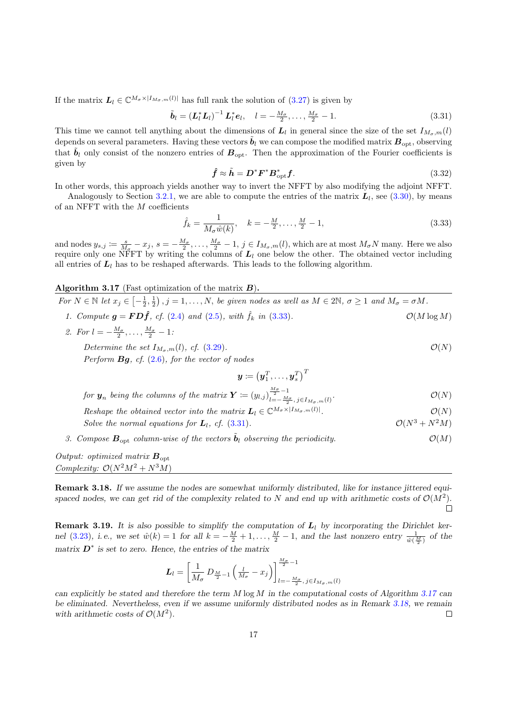<span id="page-16-0"></span>If the matrix  $\mathbf{L}_l \in \mathbb{C}^{M_{\sigma} \times |I_{M_{\sigma},m}(l)|}$  has full rank the solution of [\(3.27\)](#page-15-0) is given by

$$
\tilde{b}_l = \left( L_l^* L_l \right)^{-1} L_l^* e_l, \quad l = -\frac{M_\sigma}{2}, \dots, \frac{M_\sigma}{2} - 1. \tag{3.31}
$$

This time we cannot tell anything about the dimensions of  $L_l$  in general since the size of the set  $I_{M_{\sigma},m}(l)$ depends on several parameters. Having these vectors  $\tilde{b}_l$  we can compose the modified matrix  $B_{\text{opt}}$ , observing that  $\tilde{b}_l$  only consist of the nonzero entries of  $B_{\text{opt}}$ . Then the approximation of the Fourier coefficients is given by

$$
\hat{f} \approx \tilde{h} = D^* F^* B_{\rm opt}^* f. \tag{3.32}
$$

In other words, this approach yields another way to invert the NFFT by also modifying the adjoint NFFT.

Analogously to Section [3.2.1,](#page-9-0) we are able to compute the entries of the matrix  $L_l$ , see [\(3.30\)](#page-15-0), by means of an NFFT with the  $M$  coefficients

$$
\hat{f}_k = \frac{1}{M_\sigma \hat{w}(k)}, \quad k = -\frac{M}{2}, \dots, \frac{M}{2} - 1,\tag{3.33}
$$

and nodes  $y_{s,j} := \frac{s}{M_{\sigma}} - x_j$ ,  $s = -\frac{M_{\sigma}}{2}$ , ...,  $\frac{M_{\sigma}}{2} - 1$ ,  $j \in I_{M_{\sigma},m}(l)$ , which are at most  $M_{\sigma}N$  many. Here we also require only one NFFT by writing the columns of  $L_l$  one below the other. The obtained vector including all entries of  $L_l$  has to be reshaped afterwards. This leads to the following algorithm.

Algorithm 3.17 (Fast optimization of the matrix  $B$ ).

For  $N \in \mathbb{N}$  let  $x_j \in \left[-\frac{1}{2},\frac{1}{2}\right), j = 1,\ldots,N$ , be given nodes as well as  $M \in 2\mathbb{N}$ ,  $\sigma \geq 1$  and  $M_{\sigma} = \sigma M$ . 1. Compute  $g = FD\hat{f}$ , cf. [\(2.4\)](#page-2-0) and [\(2.5\)](#page-3-0), with  $\hat{f}_k$  in (3.33).  $\mathcal{O}(M \log M)$ 

2. For  $l = -\frac{M_{\sigma}}{2}, \ldots, \frac{M_{\sigma}}{2} - 1$ :

Determine the set  $I_{M_{\sigma},m}(l)$ , cf. [\(3.29\)](#page-15-0).  $\mathcal{O}(N)$ Perform  $Bg$ , cf.  $(2.6)$ , for the vector of nodes

$$
\boldsymbol{y} \coloneqq \left(\boldsymbol{y}_1^T,\ldots,\boldsymbol{y}_s^T\right)^T
$$

for  $\mathbf{y}_n$  being the columns of the matrix  $\boldsymbol{Y} \coloneqq (y_{l,j})_{l=-\frac{M}{2} - 1}^{\frac{M_{\sigma}}{2} - 1}$  $l = -\frac{M_{\sigma}}{2}, j \in I_{M_{\sigma},m}(l)$  $\mathcal{O}(N)$ Reshape the obtained vector into the matrix  $\mathbf{L}_l \in \mathbb{C}^{M_{\sigma} \times |I_{M_{\sigma},m}(l)|}$ .  $\mathcal{O}(N)$ 

Solve the normal equations for  $L_1$ , cf. (3.31).  $\mathcal{O}(N^3 + N^2M)$ 

3. Compose  $\mathbf{B}_{\text{opt}}$  column-wise of the vectors  $\mathbf{b}_l$  observing the periodicity.  $\mathcal{O}(M)$ 

Output: optimized matrix  $\mathbf{B}_{\text{opt}}$ Complexity:  $\mathcal{O}(N^2M^2 + N^3M)$ 

Remark 3.18. If we assume the nodes are somewhat uniformly distributed, like for instance jittered equispaced nodes, we can get rid of the complexity related to N and end up with arithmetic costs of  $\mathcal{O}(M^2)$ .  $\Box$ 

**Remark 3.19.** It is also possible to simplify the computation of  $L_l$  by incorporating the Dirichlet ker-nel [\(3.23\)](#page-11-0), i.e., we set  $\hat{w}(k) = 1$  for all  $k = -\frac{M}{2} + 1, \ldots, \frac{M}{2} - 1$ , and the last nonzero entry  $\frac{1}{\hat{w}(\frac{M}{2})}$  of the matrix  $\mathbf{D}^*$  is set to zero. Hence, the entries of the matrix

$$
\boldsymbol{L}_l = \left[\frac{1}{M_\sigma}\,D_{\frac{M}{2}-1}\left(\frac{l}{M_\sigma}-x_j\right)\right]^{\frac{M_\sigma}{2}-1}_{l=-\frac{M_\sigma}{2},\,j\in I_{M_\sigma,m}(l)}
$$

can explicitly be stated and therefore the term  $M \log M$  in the computational costs of Algorithm 3.17 can be eliminated. Nevertheless, even if we assume uniformly distributed nodes as in Remark 3.18, we remain with arithmetic costs of  $\mathcal{O}(M^2)$ .  $\Box$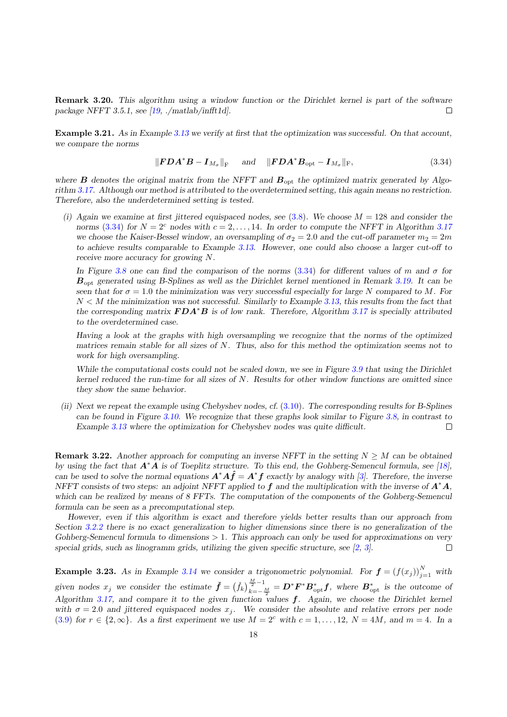<span id="page-17-0"></span>Remark 3.20. This algorithm using a window function or the Dirichlet kernel is part of the software package NFFT 3.5.1, see [\[19,](#page-25-0) ./matlab/infft1d].  $\Box$ 

Example 3.21. As in Example [3.13](#page-12-0) we verify at first that the optimization was successful. On that account, we compare the norms

$$
\|\mathbf{FDA}^*\mathbf{B} - \mathbf{I}_{M_{\sigma}}\|_{\mathrm{F}} \quad \text{and} \quad \|\mathbf{FDA}^*\mathbf{B}_{\mathrm{opt}} - \mathbf{I}_{M_{\sigma}}\|_{\mathrm{F}}, \tag{3.34}
$$

where  $\bm{B}$  denotes the original matrix from the NFFT and  $\bm{B}_{\text{opt}}$  the optimized matrix generated by Algorithm [3.17.](#page-16-0) Although our method is attributed to the overdetermined setting, this again means no restriction. Therefore, also the underdetermined setting is tested.

(i) Again we examine at first jittered equispaced nodes, see  $(3.8)$ . We choose  $M = 128$  and consider the norms (3.34) for  $N = 2<sup>c</sup>$  nodes with  $c = 2, ..., 14$ . In order to compute the NFFT in Algorithm [3.17](#page-16-0) we choose the Kaiser-Bessel window, an oversampling of  $\sigma_2 = 2.0$  and the cut-off parameter  $m_2 = 2m$ to achieve results comparable to Example [3.13.](#page-12-0) However, one could also choose a larger cut-off to receive more accuracy for growing N.

In Figure [3.8](#page-18-0) one can find the comparison of the norms (3.34) for different values of m and  $\sigma$  for  $B_{\text{out}}$  generated using B-Splines as well as the Dirichlet kernel mentioned in Remark [3.19.](#page-16-0) It can be seen that for  $\sigma = 1.0$  the minimization was very successful especially for large N compared to M. For  $N < M$  the minimization was not successful. Similarly to Example [3.13,](#page-12-0) this results from the fact that the corresponding matrix  $\boldsymbol{FDA}^*B$  is of low rank. Therefore, Algorithm [3.17](#page-16-0) is specially attributed to the overdetermined case.

Having a look at the graphs with high oversampling we recognize that the norms of the optimized matrices remain stable for all sizes of N. Thus, also for this method the optimization seems not to work for high oversampling.

While the computational costs could not be scaled down, we see in Figure [3.9](#page-18-0) that using the Dirichlet kernel reduced the run-time for all sizes of N. Results for other window functions are omitted since they show the same behavior.

(ii) Next we repeat the example using Chebyshev nodes, cf. [\(3.10\)](#page-7-0). The corresponding results for B-Splines can be found in Figure [3.10.](#page-18-0) We recognize that these graphs look similar to Figure [3.8,](#page-18-0) in contrast to  $\Box$ Example [3.13](#page-12-0) where the optimization for Chebyshev nodes was quite difficult.

**Remark 3.22.** Another approach for computing an inverse NFFT in the setting  $N \geq M$  can be obtained by using the fact that  $A^*A$  is of Toeplitz structure. To this end, the Gohberg-Semencul formula, see [\[18\]](#page-25-0), can be used to solve the normal equations  $A^*A\hat{f} = A^*f$  exactly by analogy with [\[3\]](#page-25-0). Therefore, the inverse NFFT consists of two steps: an adjoint NFFT applied to  $f$  and the multiplication with the inverse of  $A^*A$ , which can be realized by means of 8 FFTs. The computation of the components of the Gohberg-Semencul formula can be seen as a precomputational step.

However, even if this algorithm is exact and therefore yields better results than our approach from Section [3.2.2](#page-15-0) there is no exact generalization to higher dimensions since there is no generalization of the Gohberg-Semencul formula to dimensions  $> 1$ . This approach can only be used for approximations on very special grids, such as linogramm grids, utilizing the given specific structure, see [\[2,](#page-25-0) [3\]](#page-25-0).  $\Box$ 

**Example 3.23.** As in Example [3.14](#page-12-0) we consider a trigonometric polynomial. For  $f = (f(x_j))_{j=1}^N$  with given nodes  $x_j$  we consider the estimate  $\check{f} = (\check{f}_k)_{k=-\infty}^{\frac{M}{2}-1}$  $\frac{1}{2} \sum_{k=-\frac{M}{2}}^{\infty} = D^* \boldsymbol{F}^* \boldsymbol{B}_{\rm opt}^* \boldsymbol{f}$ , where  $\boldsymbol{B}_{\rm opt}^*$  is the outcome of Algorithm [3.17,](#page-16-0) and compare it to the given function values  $f$ . Again, we choose the Dirichlet kernel with  $\sigma = 2.0$  and jittered equispaced nodes  $x_j$ . We consider the absolute and relative errors per node [\(3.9\)](#page-6-0) for  $r \in \{2, \infty\}$ . As a first experiment we use  $M = 2<sup>c</sup>$  with  $c = 1, \ldots, 12$ ,  $N = 4M$ , and  $m = 4$ . In a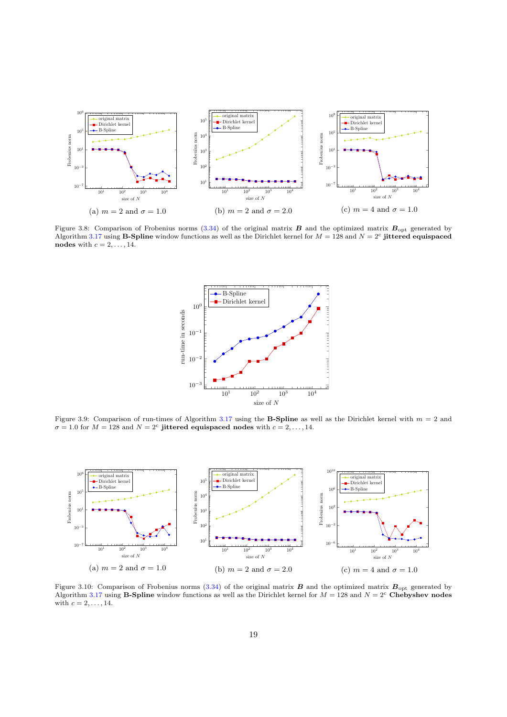<span id="page-18-0"></span>

Figure 3.8: Comparison of Frobenius norms [\(3.34\)](#page-17-0) of the original matrix  $\bm{B}$  and the optimized matrix  $\bm{B}_{\text{opt}}$  generated by Algorithm [3.17](#page-16-0) using **B-Spline** window functions as well as the Dirichlet kernel for  $M = 128$  and  $N = 2<sup>c</sup>$  jittered equispaced nodes with  $c = 2, \ldots, 14$ .



Figure 3.9: Comparison of run-times of Algorithm [3.17](#page-16-0) using the **B-Spline** as well as the Dirichlet kernel with  $m = 2$  and  $\sigma = 1.0$  for  $M = 128$  and  $N = 2<sup>c</sup>$  jittered equispaced nodes with  $c = 2, ..., 14$ .



Figure 3.10: Comparison of Frobenius norms [\(3.34\)](#page-17-0) of the original matrix  $\bm{B}$  and the optimized matrix  $\bm{B}_{\text{opt}}$  generated by Algorithm [3.17](#page-16-0) using **B-Spline** window functions as well as the Dirichlet kernel for  $M = 128$  and  $N = 2<sup>c</sup>$  Chebyshev nodes with  $c = 2, \ldots, 14$ .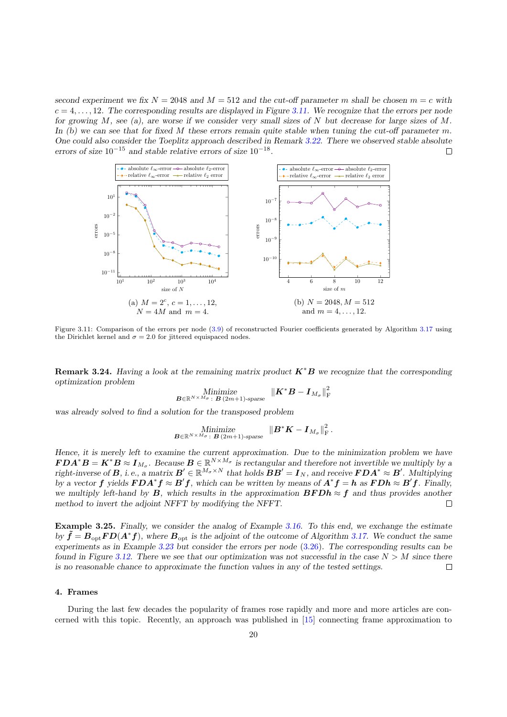<span id="page-19-0"></span>second experiment we fix  $N = 2048$  and  $M = 512$  and the cut-off parameter m shall be chosen  $m = c$  with  $c = 4, \ldots, 12$ . The corresponding results are displayed in Figure 3.11. We recognize that the errors per node for growing  $M$ , see (a), are worse if we consider very small sizes of  $N$  but decrease for large sizes of  $M$ . In (b) we can see that for fixed M these errors remain quite stable when tuning the cut-off parameter m. One could also consider the Toeplitz approach described in Remark [3.22.](#page-17-0) There we observed stable absolute errors of size  $10^{-15}$  and stable relative errors of size  $10^{-18}$ .  $\Box$ 



Figure 3.11: Comparison of the errors per node [\(3.9\)](#page-6-0) of reconstructed Fourier coefficients generated by Algorithm [3.17](#page-16-0) using the Dirichlet kernel and  $\sigma = 2.0$  for jittered equispaced nodes.

**Remark 3.24.** Having a look at the remaining matrix product  $K^*B$  we recognize that the corresponding optimization problem

Minimize  

$$
B \in \mathbb{R}^{N \times M_{\sigma}}
$$
:  $B(2m+1)$ -sparse  $\| \boldsymbol{K}^* \boldsymbol{B} - \boldsymbol{I}_{M_{\sigma}} \|^2_{\text{F}}$ 

was already solved to find a solution for the transposed problem

Minimize  

$$
B \in \mathbb{R}^{N \times M_{\sigma}}
$$
:  $B(2m+1)$ -sparse  $\|B^*K - I_{M_{\sigma}}\|_{\mathrm{F}}^2$ .

Hence, it is merely left to examine the current approximation. Due to the minimization problem we have  $\boldsymbol{FDA}^*\boldsymbol{B} = \boldsymbol{K}^*\boldsymbol{B} \approx \boldsymbol{I}_{M_{\sigma}}$ . Because  $\boldsymbol{B} \in \mathbb{R}^{N \times M_{\sigma}}$  is rectangular and therefore not invertible we multiply by a right-inverse of **B**, i.e., a matrix  $B' \in \mathbb{R}^{M_{\sigma} \times N}$  that holds  $BB' = I_N$ , and receive  $\bm{FDA}^* \approx \bm{B}'$ . Multiplying by a vector f yields  $\bm{FDA}^*\bm{f} \approx \bm{B}'\bm{f}$ , which can be written by means of  $\bm{A}^*\bm{f} = \bm{h}$  as  $\bm{FDA} \approx \bm{B}'\bm{f}$ . Finally, we multiply left-hand by **B**, which results in the approximation **BFDh**  $\approx$  **f** and thus provides another method to invert the adjoint NFFT by modifying the NFFT.  $\Box$ 

Example 3.25. Finally, we consider the analog of Example [3.16.](#page-14-0) To this end, we exchange the estimate by  $\tilde{\bm{f}} = \bm{B}_{\text{opt}} \bm{F} \bm{D} (\bm{A}^* \bm{f})$ , where  $\bm{B}_{\text{opt}}$  is the adjoint of the outcome of Algorithm [3.17.](#page-16-0) We conduct the same experiments as in Example [3.23](#page-17-0) but consider the errors per node [\(3.26\)](#page-14-0). The corresponding results can be found in Figure [3.12.](#page-20-0) There we see that our optimization was not successful in the case  $N > M$  since there is no reasonable chance to approximate the function values in any of the tested settings.  $\Box$ 

#### 4. Frames

During the last few decades the popularity of frames rose rapidly and more and more articles are concerned with this topic. Recently, an approach was published in [\[15\]](#page-25-0) connecting frame approximation to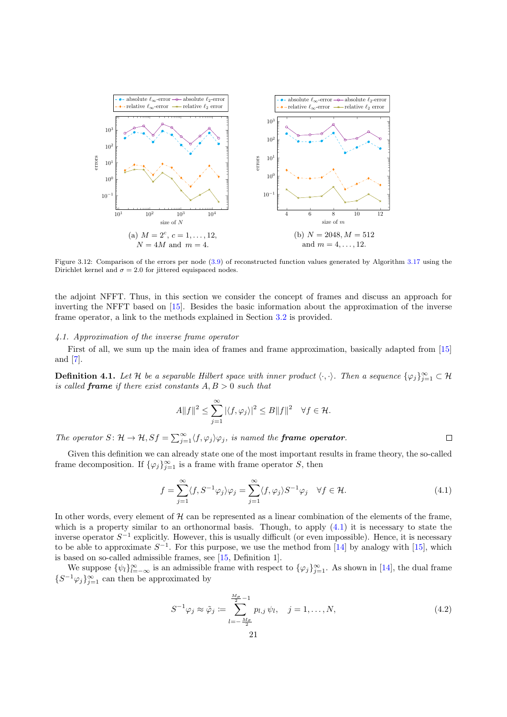<span id="page-20-0"></span>

Figure 3.12: Comparison of the errors per node [\(3.9\)](#page-6-0) of reconstructed function values generated by Algorithm [3.17](#page-16-0) using the Dirichlet kernel and  $\sigma = 2.0$  for jittered equispaced nodes.

the adjoint NFFT. Thus, in this section we consider the concept of frames and discuss an approach for inverting the NFFT based on [\[15\]](#page-25-0). Besides the basic information about the approximation of the inverse frame operator, a link to the methods explained in Section [3.2](#page-7-0) is provided.

## 4.1. Approximation of the inverse frame operator

First of all, we sum up the main idea of frames and frame approximation, basically adapted from [\[15\]](#page-25-0) and [\[7\]](#page-25-0).

**Definition 4.1.** Let H be a separable Hilbert space with inner product  $\langle \cdot, \cdot \rangle$ . Then a sequence  $\{\varphi_j\}_{j=1}^{\infty} \subset \mathcal{H}$ is called **frame** if there exist constants  $A, B > 0$  such that

$$
A||f||^2 \le \sum_{j=1}^{\infty} |\langle f, \varphi_j \rangle|^2 \le B||f||^2 \quad \forall f \in \mathcal{H}.
$$

The operator  $S: \mathcal{H} \to \mathcal{H}, Sf = \sum_{j=1}^{\infty} \langle f, \varphi_j \rangle \varphi_j$ , is named the **frame operator**.

Given this definition we can already state one of the most important results in frame theory, the so-called frame decomposition. If  $\{\varphi_j\}_{j=1}^{\infty}$  is a frame with frame operator S, then

$$
f = \sum_{j=1}^{\infty} \langle f, S^{-1} \varphi_j \rangle \varphi_j = \sum_{j=1}^{\infty} \langle f, \varphi_j \rangle S^{-1} \varphi_j \quad \forall f \in \mathcal{H}.
$$
 (4.1)

 $\Box$ 

In other words, every element of  $H$  can be represented as a linear combination of the elements of the frame, which is a property similar to an orthonormal basis. Though, to apply  $(4.1)$  it is necessary to state the inverse operator  $S^{-1}$  explicitly. However, this is usually difficult (or even impossible). Hence, it is necessary to be able to approximate  $S^{-1}$ . For this purpose, we use the method from [\[14\]](#page-25-0) by analogy with [\[15\]](#page-25-0), which is based on so-called admissible frames, see [\[15,](#page-25-0) Definition 1].

We suppose  $\{\psi_l\}_{l=-\infty}^{\infty}$  is an admissible frame with respect to  $\{\varphi_j\}_{j=1}^{\infty}$ . As shown in [\[14\]](#page-25-0), the dual frame  $\{S^{-1}\varphi_j\}_{j=1}^\infty$  can then be approximated by

$$
S^{-1}\varphi_j \approx \tilde{\varphi}_j \coloneqq \sum_{l=-\frac{M_{\sigma}}{2}}^{\frac{M_{\sigma}}{2}-1} p_{l,j} \,\psi_l, \quad j=1,\ldots,N,\tag{4.2}
$$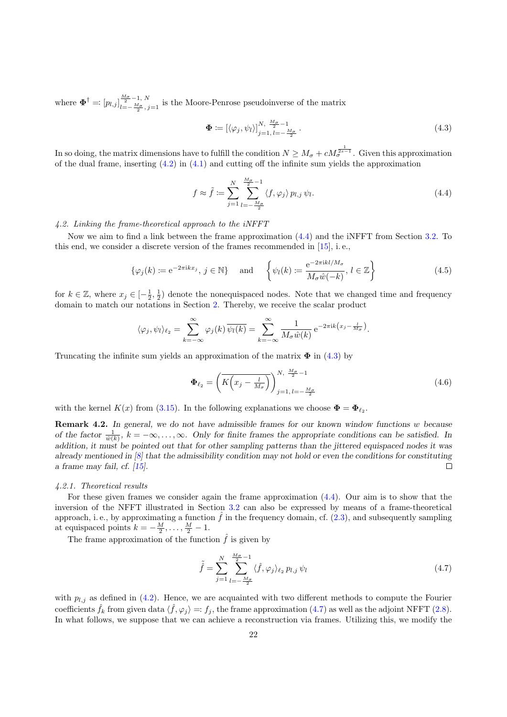<span id="page-21-0"></span>where  $\Phi^{\dagger} =: [p_{l,j}]_{l=-\frac{M_{\sigma}}{2}-1, N}^{\frac{M_{\sigma}}{2}-1, N}$  $\frac{1}{l=-\frac{M_{\sigma}}{2},j=1}$  is the Moore-Penrose pseudoinverse of the matrix

$$
\mathbf{\Phi} := \left[ \langle \varphi_j, \psi_l \rangle \right]_{j=1, l=-\frac{M\sigma}{2}}^{N, \frac{M\sigma}{2}-1} . \tag{4.3}
$$

In so doing, the matrix dimensions have to fulfill the condition  $N \geq M_{\sigma} + cM_{\sigma}^{\frac{1}{2s-1}}$ . Given this approximation of the dual frame, inserting  $(4.2)$  in  $(4.1)$  and cutting off the infinite sum yields the approximation

$$
f \approx \tilde{f} := \sum_{j=1}^{N} \sum_{l=-\frac{M_{\sigma}}{2}}^{\frac{M_{\sigma}}{2}-1} \langle f, \varphi_{j} \rangle p_{l,j} \psi_{l}. \tag{4.4}
$$

4.2. Linking the frame-theoretical approach to the iNFFT

Now we aim to find a link between the frame approximation (4.4) and the iNFFT from Section [3.2.](#page-7-0) To this end, we consider a discrete version of the frames recommended in [\[15\]](#page-25-0), i. e.,

$$
\{\varphi_j(k) \coloneqq e^{-2\pi ikx_j}, \, j \in \mathbb{N}\} \quad \text{and} \quad \left\{\psi_l(k) \coloneqq \frac{e^{-2\pi ikl/M_\sigma}}{M_\sigma \hat{w}(-k)}, \, l \in \mathbb{Z}\right\} \tag{4.5}
$$

for  $k \in \mathbb{Z}$ , where  $x_j \in \left[-\frac{1}{2},\frac{1}{2}\right)$  denote the nonequispaced nodes. Note that we changed time and frequency domain to match our notations in Section [2.](#page-1-0) Thereby, we receive the scalar product

$$
\langle \varphi_j, \psi_l \rangle_{\ell_2} = \sum_{k=-\infty}^{\infty} \varphi_j(k) \, \overline{\psi_l(k)} = \sum_{k=-\infty}^{\infty} \frac{1}{M_\sigma \hat{w}(k)} \, e^{-2\pi i k \left(x_j - \frac{l}{M_\sigma}\right)}
$$

Truncating the infinite sum yields an approximation of the matrix  $\Phi$  in (4.3) by

$$
\Phi_{\ell_2} = \left(\overline{K\left(x_j - \frac{l}{M_\sigma}\right)}\right)_{j=1, l=-\frac{M_\sigma}{2}}^{N, \frac{M_\sigma}{2}-1} \tag{4.6}
$$

.

with the kernel  $K(x)$  from [\(3.15\)](#page-9-0). In the following explanations we choose  $\mathbf{\Phi} = \mathbf{\Phi}_{\ell_2}$ .

Remark 4.2. In general, we do not have admissible frames for our known window functions w because of the factor  $\frac{1}{\hat{w}(k)}$ ,  $k = -\infty, \ldots, \infty$ . Only for finite frames the appropriate conditions can be satisfied. In addition, it must be pointed out that for other sampling patterns than the jittered equispaced nodes it was already mentioned in [\[8\]](#page-25-0) that the admissibility condition may not hold or even the conditions for constituting a frame may fail, cf. [\[15\]](#page-25-0).  $\Box$ 

#### 4.2.1. Theoretical results

For these given frames we consider again the frame approximation (4.4). Our aim is to show that the inversion of the NFFT illustrated in Section [3.2](#page-7-0) can also be expressed by means of a frame-theoretical approach, i. e., by approximating a function  $\hat{f}$  in the frequency domain, cf. [\(2.3\)](#page-2-0), and subsequently sampling at equispaced points  $k = -\frac{M}{2}, \ldots, \frac{M}{2} - 1$ .

The frame approximation of the function  $\hat{f}$  is given by

$$
\tilde{\hat{f}} = \sum_{j=1}^{N} \sum_{l=-\frac{M_{\sigma}}{2}}^{\frac{M_{\sigma}}{2}-1} \langle \hat{f}, \varphi_j \rangle_{\ell_2} p_{l,j} \psi_l
$$
\n(4.7)

with  $p_{l,j}$  as defined in [\(4.2\)](#page-20-0). Hence, we are acquainted with two different methods to compute the Fourier coefficients  $\hat{f}_k$  from given data  $\langle \hat{f}, \varphi_j \rangle =: f_j$ , the frame approximation (4.7) as well as the adjoint NFFT [\(2.8\)](#page-3-0). In what follows, we suppose that we can achieve a reconstruction via frames. Utilizing this, we modify the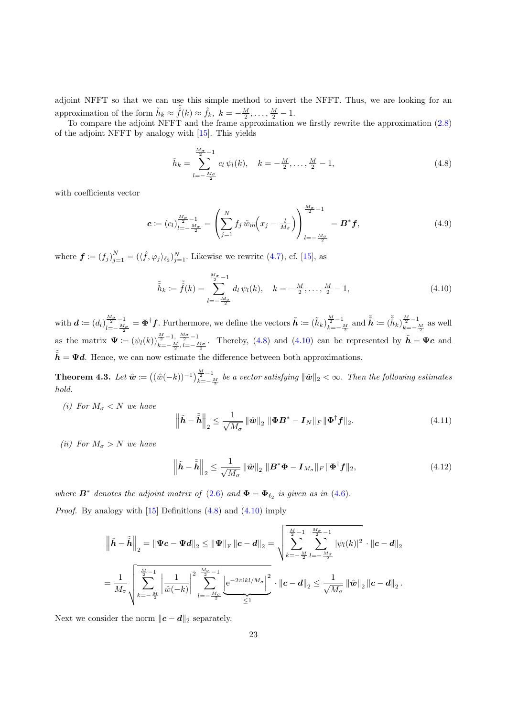<span id="page-22-0"></span>adjoint NFFT so that we can use this simple method to invert the NFFT. Thus, we are looking for an approximation of the form  $\tilde{h}_k \approx \tilde{f}(k) \approx \hat{f}_k, k = -\frac{M}{2}, \ldots, \frac{M}{2} - 1.$ 

To compare the adjoint NFFT and the frame approximation we firstly rewrite the approximation [\(2.8\)](#page-3-0) of the adjoint NFFT by analogy with [\[15\]](#page-25-0). This yields

$$
\tilde{h}_k = \sum_{l=-\frac{M_{\sigma}}{2}}^{\frac{M_{\sigma}}{2}-1} c_l \psi_l(k), \quad k = -\frac{M}{2}, \dots, \frac{M}{2}-1,
$$
\n(4.8)

with coefficients vector

$$
\mathbf{c} := (c_l)_{l=-\frac{M_{\sigma}}{2}}^{\frac{M_{\sigma}}{2}-1} = \left(\sum_{j=1}^{N} f_j \,\tilde{w}_m \left(x_j - \frac{l}{M_{\sigma}}\right)\right)_{l=-\frac{M_{\sigma}}{2}}^{\frac{M_{\sigma}}{2}-1} = \mathbf{B}^* \mathbf{f},\tag{4.9}
$$

where  $\boldsymbol{f} \coloneqq (f_j)_{j=1}^N = (\langle \hat{f}, \varphi_j \rangle_{\ell_2})_{j=1}^N$ . Likewise we rewrite [\(4.7\)](#page-21-0), cf. [\[15\]](#page-25-0), as

$$
\tilde{\tilde{h}}_k := \tilde{\hat{f}}(k) = \sum_{l=-\frac{M_{\sigma}}{2}}^{\frac{M_{\sigma}}{2}-1} d_l \psi_l(k), \quad k = -\frac{M}{2}, \dots, \frac{M}{2}-1,
$$
\n(4.10)

with  $\boldsymbol{d}:=(d_l)_{l=-\frac{M_{\sigma}}{M_{\tau}}}^{\frac{M_{\sigma}}{2}-1}$  $\frac{M_{\sigma}}{M_{\sigma}-1} = \Phi^{\dagger} f$ . Furthermore, we define the vectors  $\tilde{h} := (\tilde{h}_k)_{k=-\infty}^{\frac{M}{2}-1}$  $\frac{\frac{M}{2}-1}{k=-\frac{M}{2}}$  and  $\tilde{\tilde{h}} := (\tilde{\tilde{h}}_k)_{k=-\infty}^{\frac{M}{2}-1}$  $\frac{2}{k}$  as well as the matrix  $\Psi := (\psi_l(k))_{\substack{l=1 \ n \text{ odd}}}^{\frac{M}{2}-1, \frac{M_{\sigma}}{2}-1}$  $\frac{\frac{M}{2}-1}{k=-\frac{M}{2},l=-\frac{M_{\sigma}}{2}}$ . Thereby, (4.8) and (4.10) can be represented by  $\tilde{h}=\Psi c$  and  $\tilde{\tilde{h}} = \Psi d$ . Hence, we can now estimate the difference between both approximations.

**Theorem 4.3.** Let  $\hat{\mathbf{w}} := ((\hat{w}(-k))^{-1})_{k=-\infty}^{\frac{M}{2}-1}$  $\frac{2}{k=-\frac{M}{2}}$  be a vector satisfying  $\|\hat{\bm{w}}\|_2 < \infty$ . Then the following estimates hold.

(i) For  $M_{\sigma} < N$  we have

$$
\left\|\tilde{\boldsymbol{h}} - \tilde{\tilde{\boldsymbol{h}}}\right\|_2 \le \frac{1}{\sqrt{M_{\sigma}}}\left\|\hat{\boldsymbol{w}}\right\|_2 \|\boldsymbol{\Phi}\boldsymbol{B}^* - \boldsymbol{I}_N\|_F \|\boldsymbol{\Phi}^\dagger \boldsymbol{f}\|_2. \tag{4.11}
$$

(ii) For  $M_{\sigma} > N$  we have

$$
\left\|\tilde{\boldsymbol{h}} - \tilde{\tilde{\boldsymbol{h}}}\right\|_{2} \leq \frac{1}{\sqrt{M_{\sigma}}}\left\|\hat{\boldsymbol{w}}\right\|_{2}\left\|\boldsymbol{B}^{*}\boldsymbol{\Phi} - \boldsymbol{I}_{M_{\sigma}}\right\|_{F}\left\|\boldsymbol{\Phi}^{\dagger}\boldsymbol{f}\right\|_{2},\tag{4.12}
$$

where  $\mathbf{B}^*$  denotes the adjoint matrix of [\(2.6\)](#page-3-0) and  $\mathbf{\Phi} = \mathbf{\Phi}_{\ell_2}$  is given as in [\(4.6\)](#page-21-0). *Proof.* By analogy with  $[15]$  Definitions  $(4.8)$  and  $(4.10)$  imply

$$
\left\|\tilde{h} - \tilde{\tilde{h}}\right\|_2 = \left\|\Psi c - \Psi d\right\|_2 \le \left\|\Psi\right\|_{\rm F} \left\|c - d\right\|_2 = \sqrt{\sum_{k=-\frac{M}{2}}^{\frac{M}{2}-1} \sum_{l=-\frac{M_c}{2}}^{\frac{M_c}{2}-1} |\psi_l(k)|^2} \cdot \left\|c - d\right\|_2
$$

$$
= \frac{1}{M_\sigma} \sqrt{\sum_{k=-\frac{M}{2}}^{\frac{M}{2}-1} \left|\frac{1}{\hat{w}(-k)}\right|^2 \sum_{l=-\frac{M_c}{2}}^{\frac{M_c}{2}-1} \left|e^{-2\pi i k l / M_\sigma}\right|^2} \cdot \left\|c - d\right\|_2 \le \frac{1}{\sqrt{M_\sigma}} \left\|\hat{w}\right\|_2 \left\|c - d\right\|_2.
$$

Next we consider the norm  $||c - d||_2$  separately.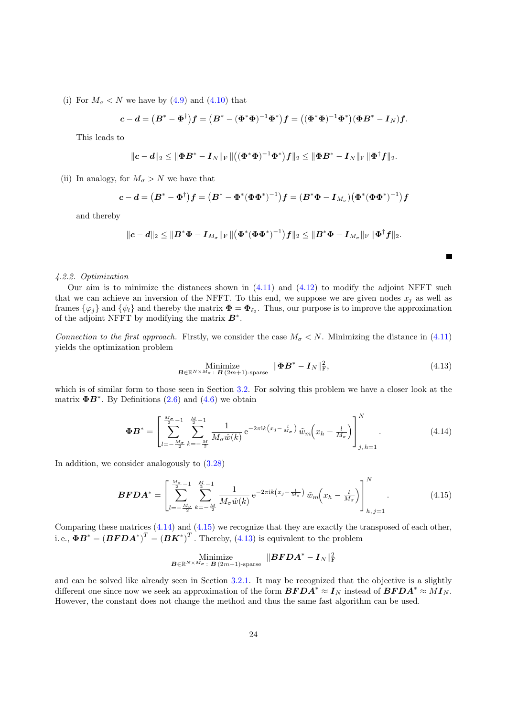(i) For  $M_{\sigma}$  < N we have by [\(4.9\)](#page-22-0) and [\(4.10\)](#page-22-0) that

$$
c-d = (B^* - \Phi^{\dagger})f = (B^* - (\Phi^*\Phi)^{-1}\Phi^*)f = ((\Phi^*\Phi)^{-1}\Phi^*)(\Phi B^* - I_N)f.
$$

This leads to

$$
\|\bm{c}-\bm{d}\|_2 \leq \|\bm{\Phi}\bm{B}^* - \bm{I}_N\|_{\mathrm{F}}\|((\bm{\Phi}^*\bm{\Phi})^{-1}\bm{\Phi}^*)\bm{f}\|_2 \leq \|\bm{\Phi}\bm{B}^* - \bm{I}_N\|_{\mathrm{F}}\|\bm{\Phi}^{\dagger}\bm{f}\|_2.
$$

(ii) In analogy, for  $M_{\sigma} > N$  we have that

$$
\mathbf{c} - \mathbf{d} = (\mathbf{B}^* - \mathbf{\Phi}^{\dagger})\mathbf{f} = (\mathbf{B}^* - \mathbf{\Phi}^*(\mathbf{\Phi}\mathbf{\Phi}^*)^{-1})\mathbf{f} = (\mathbf{B}^*\mathbf{\Phi} - \mathbf{I}_{M_{\sigma}})(\mathbf{\Phi}^*(\mathbf{\Phi}\mathbf{\Phi}^*)^{-1})\mathbf{f}
$$

and thereby

$$
\|\bm{c}-\bm{d}\|_2 \leq \|\bm{B}^*\bm{\Phi} - \bm{I}_{M_{\sigma}}\|_{\mathrm{F}} \left\| \left(\bm{\Phi}^*(\bm{\Phi}\bm{\Phi}^*)^{-1}\right) \bm{f} \right\|_2 \leq \|\bm{B}^*\bm{\Phi} - \bm{I}_{M_{\sigma}}\|_{\mathrm{F}} \|\bm{\Phi}^{\dagger} \bm{f}\|_2.
$$

#### 4.2.2. Optimization

Our aim is to minimize the distances shown in  $(4.11)$  and  $(4.12)$  to modify the adjoint NFFT such that we can achieve an inversion of the NFFT. To this end, we suppose we are given nodes  $x_i$  as well as frames  $\{\varphi_j\}$  and  $\{\psi_l\}$  and thereby the matrix  $\mathbf{\Phi} = \mathbf{\Phi}_{\ell_2}$ . Thus, our purpose is to improve the approximation of the adjoint NFFT by modifying the matrix  $B^*$ .

Connection to the first approach. Firstly, we consider the case  $M_{\sigma} < N$ . Minimizing the distance in [\(4.11\)](#page-22-0) yields the optimization problem

Minimize  

$$
B \in \mathbb{R}^{N \times M_{\sigma}} : B(2m+1)\text{-sparse} \quad \|\Phi B^* - I_N\|_{\text{F}}^2,
$$
\n(4.13)

 $\blacksquare$ 

which is of similar form to those seen in Section [3.2.](#page-7-0) For solving this problem we have a closer look at the matrix  $\mathbf{\Phi} \mathbf{B}^*$ . By Definitions [\(2.6\)](#page-3-0) and [\(4.6\)](#page-21-0) we obtain

$$
\Phi \mathbf{B}^* = \left[ \sum_{l=-\frac{M_{\sigma}}{2}}^{\frac{M_{\sigma}}{2}-1} \sum_{k=-\frac{M}{2}}^{\frac{M}{2}-1} \frac{1}{M_{\sigma} \hat{w}(k)} e^{-2\pi i k (x_j - \frac{l}{M_{\sigma}})} \tilde{w}_m(x_h - \frac{l}{M_{\sigma}}) \right]_{j, h=1}^N
$$
\n(4.14)

In addition, we consider analogously to [\(3.28\)](#page-15-0)

$$
\boldsymbol{BFDA}^* = \left[ \sum_{l=-\frac{M\sigma}{2}}^{\frac{M\sigma}{2}-1} \sum_{k=-\frac{M}{2}}^{\frac{M}{2}-1} \frac{1}{M_{\sigma}\hat{w}(k)} e^{-2\pi i k \left(x_j - \frac{l}{M_{\sigma}}\right)} \tilde{w}_m \left(x_h - \frac{l}{M_{\sigma}}\right) \right]_{h,j=1}^N. \tag{4.15}
$$

Comparing these matrices  $(4.14)$  and  $(4.15)$  we recognize that they are exactly the transposed of each other, i.e.,  $\boldsymbol{\Phi} \boldsymbol{B}^* = (\boldsymbol{B}\boldsymbol{F}\boldsymbol{D}\boldsymbol{A}^*)^T = (\boldsymbol{B}\boldsymbol{K}^*)^T$ . Thereby, (4.13) is equivalent to the problem

$$
\underset{\bm{B} \in \mathbb{R}^{N \times M_{\sigma}} : \ \bm{B} \ (2m+1) \text{-sparse}}{\text{Minimize}} \ \ \|\bm{BFDA^*} - \bm{I_N}\|_{\text{F}}^2
$$

and can be solved like already seen in Section [3.2.1.](#page-9-0) It may be recognized that the objective is a slightly different one since now we seek an approximation of the form  $\mathbf{BFDA}^* \approx I_N$  instead of  $\mathbf{BFDA}^* \approx MI_N$ . However, the constant does not change the method and thus the same fast algorithm can be used.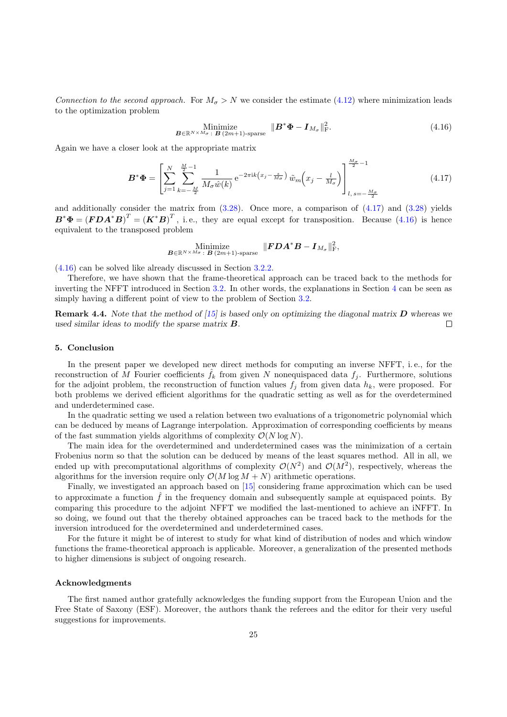Connection to the second approach. For  $M_{\sigma} > N$  we consider the estimate [\(4.12\)](#page-22-0) where minimization leads to the optimization problem

Minimize  

$$
B \in \mathbb{R}^{N \times M_{\sigma}} : B(2m+1) \text{-sparse} \quad \| \mathbf{B}^* \Phi - \mathbf{I}_{M_{\sigma}} \|_{\text{F}}^2. \tag{4.16}
$$

Again we have a closer look at the appropriate matrix

$$
\boldsymbol{B}^* \boldsymbol{\Phi} = \left[ \sum_{j=1}^N \sum_{k=-\frac{M}{2}}^{\frac{M}{2}-1} \frac{1}{M_\sigma \hat{w}(k)} e^{-2\pi i k \left( x_j - \frac{s}{M_\sigma} \right)} \tilde{w}_m \left( x_j - \frac{l}{M_\sigma} \right) \right]_{l, s=-\frac{M_\sigma}{2}}^{\frac{M_\sigma}{2}-1} \tag{4.17}
$$

and additionally consider the matrix from  $(3.28)$ . Once more, a comparison of  $(4.17)$  and  $(3.28)$  yields  $\boldsymbol{B}^* \boldsymbol{\Phi} = (\boldsymbol{F} \boldsymbol{D} \boldsymbol{A}^* \boldsymbol{B})^T = (\boldsymbol{K}^* \boldsymbol{B})^T$ , i.e., they are equal except for transposition. Because (4.16) is hence equivalent to the transposed problem

$$
\operatornamewithlimits{Minimize}_{\boldsymbol{B}\in\mathbb{R}^{N\times M_{\sigma}}\colon\boldsymbol{B}\ (2m+1)\text{-sparse}}\ \|\boldsymbol{FDA}^*\boldsymbol{B}-\boldsymbol{I}_{M_{\sigma}}\|_{\text{F}}^2,
$$

(4.16) can be solved like already discussed in Section [3.2.2.](#page-15-0)

Therefore, we have shown that the frame-theoretical approach can be traced back to the methods for inverting the NFFT introduced in Section [3.2.](#page-7-0) In other words, the explanations in Section [4](#page-19-0) can be seen as simply having a different point of view to the problem of Section [3.2.](#page-7-0)

**Remark 4.4.** Note that the method of [\[15\]](#page-25-0) is based only on optimizing the diagonal matrix  $D$  whereas we used similar ideas to modify the sparse matrix  $\bf{B}$ .  $\Box$ 

## 5. Conclusion

In the present paper we developed new direct methods for computing an inverse NFFT, i. e., for the reconstruction of M Fourier coefficients  $f_k$  from given N nonequispaced data  $f_i$ . Furthermore, solutions for the adjoint problem, the reconstruction of function values  $f_j$  from given data  $h_k$ , were proposed. For both problems we derived efficient algorithms for the quadratic setting as well as for the overdetermined and underdetermined case.

In the quadratic setting we used a relation between two evaluations of a trigonometric polynomial which can be deduced by means of Lagrange interpolation. Approximation of corresponding coefficients by means of the fast summation yields algorithms of complexity  $\mathcal{O}(N \log N)$ .

The main idea for the overdetermined and underdetermined cases was the minimization of a certain Frobenius norm so that the solution can be deduced by means of the least squares method. All in all, we ended up with precomputational algorithms of complexity  $\mathcal{O}(N^2)$  and  $\mathcal{O}(M^2)$ , respectively, whereas the algorithms for the inversion require only  $\mathcal{O}(M \log M + N)$  arithmetic operations.

Finally, we investigated an approach based on [\[15\]](#page-25-0) considering frame approximation which can be used to approximate a function  $\hat{f}$  in the frequency domain and subsequently sample at equispaced points. By comparing this procedure to the adjoint NFFT we modified the last-mentioned to achieve an iNFFT. In so doing, we found out that the thereby obtained approaches can be traced back to the methods for the inversion introduced for the overdetermined and underdetermined cases.

For the future it might be of interest to study for what kind of distribution of nodes and which window functions the frame-theoretical approach is applicable. Moreover, a generalization of the presented methods to higher dimensions is subject of ongoing research.

#### Acknowledgments

The first named author gratefully acknowledges the funding support from the European Union and the Free State of Saxony (ESF). Moreover, the authors thank the referees and the editor for their very useful suggestions for improvements.